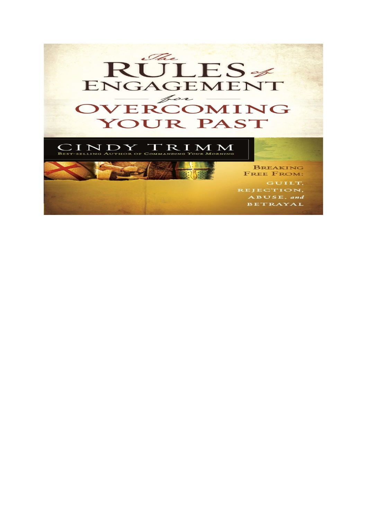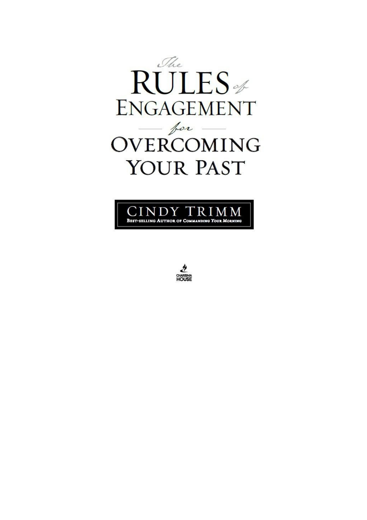



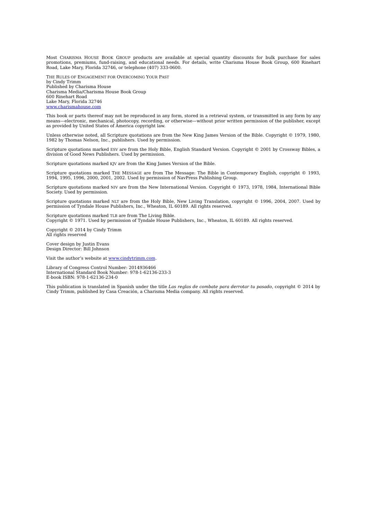Most CHARISMA HOUSE BOOK GROUP products are available at special quantity discounts for bulk purchase for sales promotions, premiums, fund-raising, and educational needs. For details, write Charisma House Book Group, 600 Rinehart Road, Lake Mary, Florida 32746, or telephone (407) 333-0600.

THE RULES OF ENGAGEMENT FOR OVERCOMING YOUR PAST by Cindy Trimm Published by Charisma House Charisma Media/Charisma House Book Group 600 Rinehart Road Lake Mary, Florida 32746 www.charismahouse.com

This book or parts thereof may not be reproduced in any form, stored in a retrieval system, or transmitted in any form by any means—electronic, mechanical, photocopy, recording, or otherwise—without prior written permission of the publisher, except as provided by United States of America copyright law.

Unless otherwise noted, all Scripture quotations are from the New King James Version of the Bible. Copyright © 1979, 1980, 1982 by Thomas Nelson, Inc., publishers. Used by permission.

Scripture quotations marked ESV are from the Holy Bible, English Standard Version. Copyright © 2001 by Crossway Bibles, a division of Good News Publishers. Used by permission.

Scripture quotations marked KJV are from the King James Version of the Bible.

Scripture quotations marked THE MESSAGE are from The Message: The Bible in Contemporary English, copyright © 1993, 1994, 1995, 1996, 2000, 2001, 2002. Used by permission of NavPress Publishing Group.

Scripture quotations marked NIV are from the New International Version. Copyright © 1973, 1978, 1984, International Bible Society. Used by permission.

Scripture quotations marked NLT are from the Holy Bible, New Living Translation, copyright © 1996, 2004, 2007. Used by permission of Tyndale House Publishers, Inc., Wheaton, IL 60189. All rights reserved.

Scripture quotations marked TLB are from The Living Bible.

Copyright © 1971. Used by permission of Tyndale House Publishers, Inc., Wheaton, IL 60189. All rights reserved.

Copyright © 2014 by Cindy Trimm All rights reserved

Cover design by Justin Evans Design Director: Bill Johnson

Visit the author's website at www.cindytrimm.com.

Library of Congress Control Number: 2014936466 International Standard Book Number: 978-1-62136-233-3 E-book ISBN: 978-1-62136-234-0

This publication is translated in Spanish under the title *Las reglas de combate para derrotar tu pasado*, copyright © 2014 by Cindy Trimm, published by Casa Creación, a Charisma Media company. All rights reserved.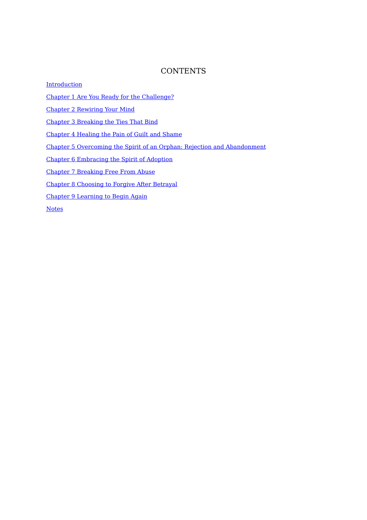## **CONTENTS**

Introduction

Chapter 1 Are You Ready for the Challenge?

Chapter 2 Rewiring Your Mind

Chapter 3 Breaking the Ties That Bind

Chapter 4 Healing the Pain of Guilt and Shame

Chapter 5 Overcoming the Spirit of an Orphan: Rejection and Abandonment

Chapter 6 Embracing the Spirit of Adoption

Chapter 7 Breaking Free From Abuse

Chapter 8 Choosing to Forgive After Betrayal

Chapter 9 Learning to Begin Again

**Notes**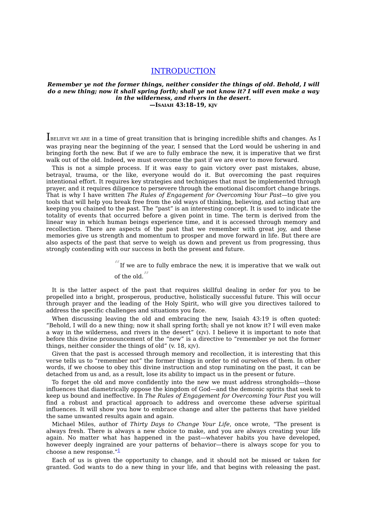## INTRODUCTION

#### *Remember ye not the former things, neither consider the things of old. Behold, I will* do a new thing; now it shall spring forth; shall ye not know it? I will even make a way *in the wilderness, and rivers in the desert.* **—ISAIAH 43:18–19, KJV**

IBELIEVE WE ARE in a time of great transition that is bringing incredible shifts and changes. As I was praying near the beginning of the year, I sensed that the Lord would be ushering in and bringing forth the new. But if we are to fully embrace the new, it is imperative that we first walk out of the old. Indeed, we must overcome the past if we are ever to move forward.

This is not a simple process. If it was easy to gain victory over past mistakes, abuse, betrayal, trauma, or the like, everyone would do it. But overcoming the past requires intentional effort. It requires key strategies and techniques that must be implemented through prayer, and it requires diligence to persevere through the emotional discomfort change brings. That is why I have written *The Rules of Engagement for Overcoming Your Past*—to give you tools that will help you break free from the old ways of thinking, believing, and acting that are keeping you chained to the past. The "past" is an interesting concept. It is used to indicate the totality of events that occurred before a given point in time. The term is derived from the linear way in which human beings experience time, and it is accessed through memory and recollection. There are aspects of the past that we remember with great joy, and these memories give us strength and momentum to prosper and move forward in life. But there are also aspects of the past that serve to weigh us down and prevent us from progressing, thus strongly contending with our success in both the present and future.

> **"** If we are to fully embrace the new, it is imperative that we walk out of the old $\frac{1}{2}$

It is the latter aspect of the past that requires skillful dealing in order for you to be propelled into a bright, prosperous, productive, holistically successful future. This will occur through prayer and the leading of the Holy Spirit, who will give you directives tailored to address the specific challenges and situations you face.

When discussing leaving the old and embracing the new, Isaiah 43:19 is often quoted: "Behold, I will do a new thing; now it shall spring forth; shall ye not know it? I will even make a way in the wilderness, and rivers in the desert" (KJV). I believe it is important to note that before this divine pronouncement of the "new" is a directive to "remember ye not the former things, neither consider the things of old" (v. 18, KJV).

Given that the past is accessed through memory and recollection, it is interesting that this verse tells us to "remember not" the former things in order to rid ourselves of them. In other words, if we choose to obey this divine instruction and stop ruminating on the past, it can be detached from us and, as a result, lose its ability to impact us in the present or future.

To forget the old and move confidently into the new we must address strongholds—those influences that diametrically oppose the kingdom of God—and the demonic spirits that seek to keep us bound and ineffective. In *The Rules of Engagement for Overcoming Your Past* you will find a robust and practical approach to address and overcome these adverse spiritual influences. It will show you how to embrace change and alter the patterns that have yielded the same unwanted results again and again.

Michael Miles, author of *Thirty Days to Change Your Life*, once wrote, "The present is always fresh. There is always a new choice to make, and you are always creating your life again. No matter what has happened in the past—whatever habits you have developed, however deeply ingrained are your patterns of behavior—there is always scope for you to choose a new response." 1

Each of us is given the opportunity to change, and it should not be missed or taken for granted. God wants to do a new thing in your life, and that begins with releasing the past.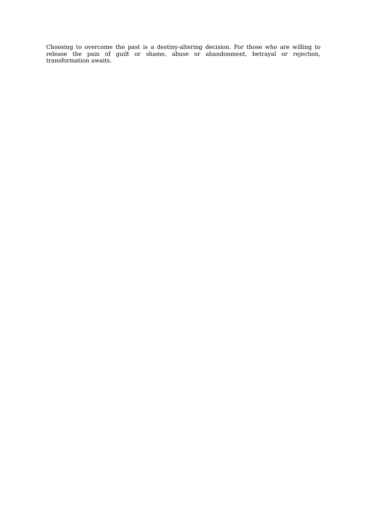Choosing to overcome the past is a destiny-altering decision. For those who are willing to release the pain of guilt or shame, abuse or abandonment, betrayal or rejection, transformation awaits.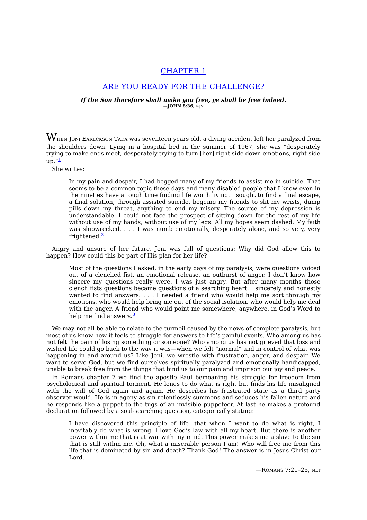## CHAPTER 1

## ARE YOU READY FOR THE CHALLENGE?

#### *If the Son therefore shall make you free, ye shall be free indeed.* **—JOHN 8:36, KJV**

 $\rm{W}_{\rm{HEN}}$  Joni Eareckson Tada was seventeen years old, a diving accident left her paralyzed from the shoulders down. Lying in a hospital bed in the summer of 1967, she was "desperately trying to make ends meet, desperately trying to turn [her] right side down emotions, right side up." 1

She writes:

In my pain and despair, I had begged many of my friends to assist me in suicide. That seems to be a common topic these days and many disabled people that I know even in the nineties have a tough time finding life worth living. I sought to find a final escape, a final solution, through assisted suicide, begging my friends to slit my wrists, dump pills down my throat, anything to end my misery. The source of my depression is understandable. I could not face the prospect of sitting down for the rest of my life without use of my hands, without use of my legs. All my hopes seem dashed. My faith was shipwrecked. . . . I was numb emotionally, desperately alone, and so very, very frightened. $\frac{2}{3}$ 

Angry and unsure of her future, Joni was full of questions: Why did God allow this to happen? How could this be part of His plan for her life?

Most of the questions I asked, in the early days of my paralysis, were questions voiced out of a clenched fist, an emotional release, an outburst of anger. I don't know how sincere my questions really were. I was just angry. But after many months those clench fists questions became questions of a searching heart. I sincerely and honestly wanted to find answers. . . . I needed a friend who would help me sort through my emotions, who would help bring me out of the social isolation, who would help me deal with the anger. A friend who would point me somewhere, anywhere, in God's Word to help me find answers.<sup>3</sup>

We may not all be able to relate to the turmoil caused by the news of complete paralysis, but most of us know how it feels to struggle for answers to life's painful events. Who among us has not felt the pain of losing something or someone? Who among us has not grieved that loss and wished life could go back to the way it was—when we felt "normal" and in control of what was happening in and around us? Like Joni, we wrestle with frustration, anger, and despair. We want to serve God, but we find ourselves spiritually paralyzed and emotionally handicapped, unable to break free from the things that bind us to our pain and imprison our joy and peace.

In Romans chapter 7 we find the apostle Paul bemoaning his struggle for freedom from psychological and spiritual torment. He longs to do what is right but finds his life misaligned with the will of God again and again. He describes his frustrated state as a third party observer would. He is in agony as sin relentlessly summons and seduces his fallen nature and he responds like a puppet to the tugs of an invisible puppeteer. At last he makes a profound declaration followed by a soul-searching question, categorically stating:

I have discovered this principle of life—that when I want to do what is right, I inevitably do what is wrong. I love God's law with all my heart. But there is another power within me that is at war with my mind. This power makes me a slave to the sin that is still within me. Oh, what a miserable person I am! Who will free me from this life that is dominated by sin and death? Thank God! The answer is in Jesus Christ our Lord.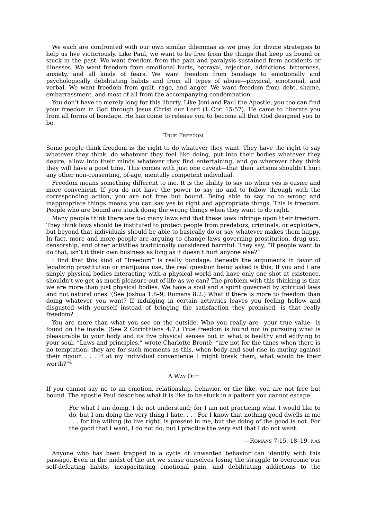We each are confronted with our own similar dilemmas as we pray for divine strategies to help us live victoriously. Like Paul, we want to be free from the things that keep us bound or stuck in the past. We want freedom from the pain and paralysis sustained from accidents or illnesses. We want freedom from emotional hurts, betrayal, rejection, addictions, bitterness, anxiety, and all kinds of fears. We want freedom from bondage to emotionally and psychologically debilitating habits and from all types of abuse—physical, emotional, and verbal. We want freedom from guilt, rage, and anger. We want freedom from debt, shame, embarrassment, and most of all from the accompanying condemnation.

You don't have to merely long for this liberty. Like Joni and Paul the Apostle, you too can find your freedom in God through Jesus Christ our Lord (1 Cor. 15:57). He came to liberate you from all forms of bondage. He has come to release you to become all that God designed you to be.

#### TRUE FREEDOM

Some people think freedom is the right to do whatever they want. They have the right to say whatever they think, do whatever they feel like doing, put into their bodies whatever they desire, allow into their minds whatever they find entertaining, and go wherever they think they will have a good time. This comes with just one caveat—that their actions shouldn't hurt any other non-consenting, of-age, mentally competent individual.

Freedom means something different to me. It is the ability to say no when yes is easier and more convenient. If you do not have the power to say no and to follow through with the corresponding action, you are not free but bound. Being able to say no to wrong and inappropriate things means you can say yes to right and appropriate things. This is freedom. People who are bound are stuck doing the wrong things when they want to do right.

Many people think there are too many laws and that these laws infringe upon their freedom. They think laws should be instituted to protect people from predators, criminals, or exploiters, but beyond that individuals should be able to basically do or say whatever makes them happy. In fact, more and more people are arguing to change laws governing prostitution, drug use, censorship, and other activities traditionally considered harmful. They say, "If people want to do that, isn't it their own business as long as it doesn't hurt anyone else?"

I find that this kind of "freedom" is really bondage. Beneath the arguments in favor of legalizing prostitution or marijuana use, the real question being asked is this: If you and I are simply physical bodies interacting with a physical world and have only one shot at existence, shouldn't we get as much pleasure out of life as we can? The problem with this thinking is that we are more than just physical bodies. We have a soul and a spirit governed by spiritual laws and not natural ones. (See Joshua 1:8–9; Romans 8:2.) What if there is more to freedom than doing whatever you want? If indulging in certain activities leaves you feeling hollow and disgusted with yourself instead of bringing the satisfaction they promised, is that really freedom?

You are more than what you see on the outside. Who you really are—your true value—is found on the inside. (See 2 Corinthians 4:7.) True freedom is found not in pursuing what is pleasurable to your body and its five physical senses but in what is healthy and edifying to your soul. "Laws and principles," wrote Charlotte Brontë, "are not for the times when there is no temptation: they are for such moments as this, when body and soul rise in mutiny against their rigour. . . . If at my individual convenience I might break them, what would be their worth?" 4

#### A WAY OUT

If you cannot say no to an emotion, relationship, behavior, or the like, you are not free but bound. The apostle Paul describes what it is like to be stuck in a pattern you cannot escape:

For what I am doing, I do not understand; for I am not practicing what I would like to do, but I am doing the very thing I hate. . . . For I know that nothing good dwells in me . . . for the willing [to live right] is present in me, but the doing of the good is not. For the good that I want, I do not do, but I practice the very evil that I do not want.

—ROMANS 7:15, 18–19, NAS

Anyone who has been trapped in a cycle of unwanted behavior can identify with this passage. Even in the midst of the act we sense ourselves losing the struggle to overcome our self-defeating habits, incapacitating emotional pain, and debilitating addictions to the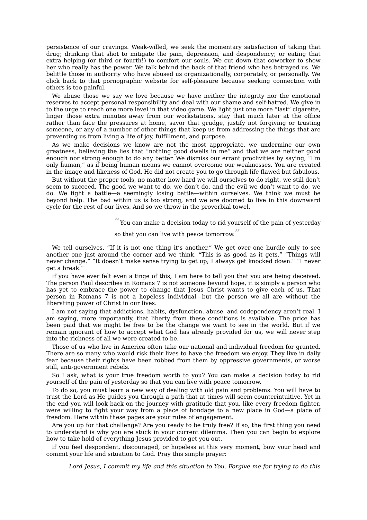persistence of our cravings. Weak-willed, we seek the momentary satisfaction of taking that drug; drinking that shot to mitigate the pain, depression, and despondency; or eating that extra helping (or third or fourth!) to comfort our souls. We cut down that coworker to show her who really has the power. We talk behind the back of that friend who has betrayed us. We belittle those in authority who have abused us organizationally, corporately, or personally. We click back to that pornographic website for self-pleasure because seeking connection with others is too painful.

We abuse those we say we love because we have neither the integrity nor the emotional reserves to accept personal responsibility and deal with our shame and self-hatred. We give in to the urge to reach one more level in that video game. We light just one more "last" cigarette, linger those extra minutes away from our workstations, stay that much later at the office rather than face the pressures at home, savor that grudge, justify not forgiving or trusting someone, or any of a number of other things that keep us from addressing the things that are preventing us from living a life of joy, fulfillment, and purpose.

As we make decisions we know are not the most appropriate, we undermine our own greatness, believing the lies that "nothing good dwells in me" and that we are neither good enough nor strong enough to do any better. We dismiss our errant proclivities by saying, "I'm only human," as if being human means we cannot overcome our weaknesses. You are created in the image and likeness of God. He did not create you to go through life flawed but fabulous.

But without the proper tools, no matter how hard we will ourselves to do right, we still don't seem to succeed. The good we want to do, we don't do, and the evil we don't want to do, we do. We fight a battle—a seemingly losing battle—within ourselves. We think we must be beyond help. The bad within us is too strong, and we are doomed to live in this downward cycle for the rest of our lives. And so we throw in the proverbial towel.

**"** You can make a decision today to rid yourself of the pain of yesterday

## so that you can live with peace tomorrow.**"**

We tell ourselves, "If it is not one thing it's another." We get over one hurdle only to see another one just around the corner and we think, "This is as good as it gets." "Things will never change." "It doesn't make sense trying to get up; I always get knocked down." "I never get a break."

If you have ever felt even a tinge of this, I am here to tell you that you are being deceived. The person Paul describes in Romans 7 is not someone beyond hope, it is simply a person who has yet to embrace the power to change that Jesus Christ wants to give each of us. That person in Romans 7 is not a hopeless individual—but the person we all are without the liberating power of Christ in our lives.

I am not saying that addictions, habits, dysfunction, abuse, and codependency aren't real. I am saying, more importantly, that liberty from these conditions is available. The price has been paid that we might be free to be the change we want to see in the world. But if we remain ignorant of how to accept what God has already provided for us, we will never step into the richness of all we were created to be.

Those of us who live in America often take our national and individual freedom for granted. There are so many who would risk their lives to have the freedom we enjoy. They live in daily fear because their rights have been robbed from them by oppressive governments, or worse still, anti-government rebels.

So I ask, what is your true freedom worth to you? You can make a decision today to rid yourself of the pain of yesterday so that you can live with peace tomorrow.

To do so, you must learn a new way of dealing with old pain and problems. You will have to trust the Lord as He guides you through a path that at times will seem counterintuitive. Yet in the end you will look back on the journey with gratitude that you, like every freedom fighter, were willing to fight your way from a place of bondage to a new place in God—a place of freedom. Here within these pages are your rules of engagement.

Are you up for that challenge? Are you ready to be truly free? If so, the first thing you need to understand is why you are stuck in your current dilemma. Then you can begin to explore how to take hold of everything Jesus provided to get you out.

If you feel despondent, discouraged, or hopeless at this very moment, bow your head and commit your life and situation to God. Pray this simple prayer:

*Lord Jesus, I commit my life and this situation to You. Forgive me for trying to do this*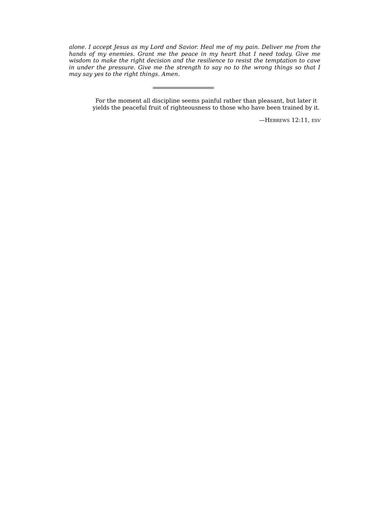*alone. I accept Jesus as my Lord and Savior. Heal me of my pain. Deliver me from the hands of my enemies. Grant me the peace in my heart that I need today. Give me wisdom to make the right decision and the resilience to resist the temptation to cave in under the pressure. Give me the strength to say no to the wrong things so that I may say yes to the right things. Amen.*

 $\equiv$ 

For the moment all discipline seems painful rather than pleasant, but later it yields the peaceful fruit of righteousness to those who have been trained by it.

 $\equiv$ 

—HEBREWS 12:11, ESV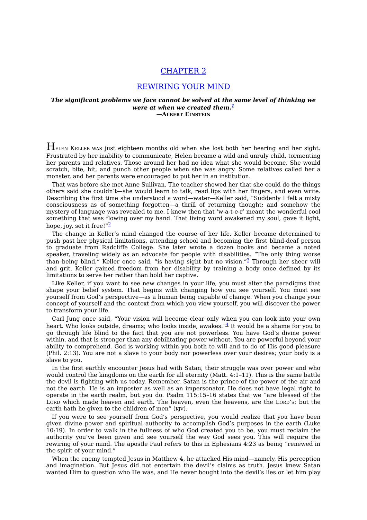## CHAPTER 2

## REWIRING YOUR MIND

#### *The significant problems we face cannot be solved at the same level of thinking we were at when we created them.<sup>1</sup>* **—ALBERT EINSTEIN**

 $H_{\scriptscriptstyle{\rm{ELEN}}}$  KELLER was just eighteen months old when she lost both her hearing and her sight. Frustrated by her inability to communicate, Helen became a wild and unruly child, tormenting her parents and relatives. Those around her had no idea what she would become. She would scratch, bite, hit, and punch other people when she was angry. Some relatives called her a monster, and her parents were encouraged to put her in an institution.

That was before she met Anne Sullivan. The teacher showed her that she could do the things others said she couldn't—she would learn to talk, read lips with her fingers, and even write. Describing the first time she understood a word—water—Keller said, "Suddenly I felt a misty consciousness as of something forgotten—a thrill of returning thought; and somehow the mystery of language was revealed to me. I knew then that 'w-a-t-e-r' meant the wonderful cool something that was flowing over my hand. That living word awakened my soul, gave it light, hope, joy, set it free!" $\frac{2}{3}$ 

The change in Keller's mind changed the course of her life. Keller became determined to push past her physical limitations, attending school and becoming the first blind-deaf person to graduate from Radcliffe College. She later wrote a dozen books and became a noted speaker, traveling widely as an advocate for people with disabilities. "The only thing worse than being blind," Keller once said, "is having sight but no vision."<sup>3</sup> Through her sheer will and grit, Keller gained freedom from her disability by training a body once defined by its limitations to serve her rather than hold her captive.

Like Keller, if you want to see new changes in your life, you must alter the paradigms that shape your belief system. That begins with changing how you see yourself. You must see yourself from God's perspective—as a human being capable of change. When you change your concept of yourself and the context from which you view yourself, you will discover the power to transform your life.

Carl Jung once said, "Your vision will become clear only when you can look into your own heart. Who looks outside, dreams; who looks inside, awakes." 4 It would be a shame for you to go through life blind to the fact that you are not powerless. You have God's divine power within, and that is stronger than any debilitating power without. You are powerful beyond your ability to comprehend. God is working within you both to will and to do of His good pleasure (Phil. 2:13). You are not a slave to your body nor powerless over your desires; your body is a slave to you.

In the first earthly encounter Jesus had with Satan, their struggle was over power and who would control the kingdoms on the earth for all eternity (Matt. 4:1–11). This is the same battle the devil is fighting with us today. Remember, Satan is the prince of the power of the air and not the earth. He is an imposter as well as an impersonator. He does not have legal right to operate in the earth realm, but you do. Psalm 115:15–16 states that we "are blessed of the LORD which made heaven and earth. The heaven, even the heavens, are the LORD'S: but the earth hath he given to the children of men" (KJV).

If you were to see yourself from God's perspective, you would realize that you have been given divine power and spiritual authority to accomplish God's purposes in the earth (Luke 10:19). In order to walk in the fullness of who God created you to be, you must reclaim the authority you've been given and see yourself the way God sees you. This will require the rewiring of your mind. The apostle Paul refers to this in Ephesians 4:23 as being "renewed in the spirit of your mind."

When the enemy tempted Jesus in Matthew 4, he attacked His mind—namely, His perception and imagination. But Jesus did not entertain the devil's claims as truth. Jesus knew Satan wanted Him to question who He was, and He never bought into the devil's lies or let him play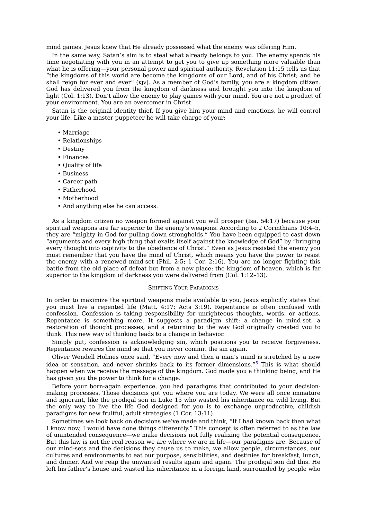mind games. Jesus knew that He already possessed what the enemy was offering Him.

In the same way, Satan's aim is to steal what already belongs to you. The enemy spends his time negotiating with you in an attempt to get you to give up something more valuable than what he is offering—your personal power and spiritual authority. Revelation 11:15 tells us that "the kingdoms of this world are become the kingdoms of our Lord, and of his Christ; and he shall reign for ever and ever" (KJV). As a member of God's family, you are a kingdom citizen. God has delivered you from the kingdom of darkness and brought you into the kingdom of light (Col. 1:13). Don't allow the enemy to play games with your mind. You are not a product of your environment. You are an overcomer in Christ.

Satan is the original identity thief. If you give him your mind and emotions, he will control your life. Like a master puppeteer he will take charge of your:

- Marriage
- Relationships
- Destiny
- Finances
- Quality of life
- Business
- Career path
- Fatherhood
- Motherhood
- And anything else he can access.

As a kingdom citizen no weapon formed against you will prosper (Isa. 54:17) because your spiritual weapons are far superior to the enemy's weapons. According to 2 Corinthians 10:4–5, they are "mighty in God for pulling down strongholds." You have been equipped to cast down "arguments and every high thing that exalts itself against the knowledge of God" by "bringing every thought into captivity to the obedience of Christ." Even as Jesus resisted the enemy you must remember that you have the mind of Christ, which means you have the power to resist the enemy with a renewed mind-set (Phil. 2:5; 1 Cor. 2:16). You are no longer fighting this battle from the old place of defeat but from a new place: the kingdom of heaven, which is far superior to the kingdom of darkness you were delivered from (Col. 1:12–13).

#### SHIFTING YOUR PARADIGMS

In order to maximize the spiritual weapons made available to you, Jesus explicitly states that you must live a repented life (Matt. 4:17; Acts 3:19). Repentance is often confused with confession. Confession is taking responsibility for unrighteous thoughts, words, or actions. Repentance is something more. It suggests a paradigm shift: a change in mind-set, a restoration of thought processes, and a returning to the way God originally created you to think. This new way of thinking leads to a change in behavior.

Simply put, confession is acknowledging sin, which positions you to receive forgiveness. Repentance rewires the mind so that you never commit the sin again.

Oliver Wendell Holmes once said, "Every now and then a man's mind is stretched by a new idea or sensation, and never shrinks back to its former dimensions." <sup>5</sup> This is what should happen when we receive the message of the kingdom. God made you a thinking being, and He has given you the power to think for a change.

Before your born-again experience, you had paradigms that contributed to your decision making processes. Those decisions got you where you are today. We were all once immature and ignorant, like the prodigal son in Luke 15 who wasted his inheritance on wild living. But the only way to live the life God designed for you is to exchange unproductive, childish paradigms for new fruitful, adult strategies (1 Cor. 13:11).

Sometimes we look back on decisions we've made and think, "If I had known back then what I know now, I would have done things differently." This concept is often referred to as the law of unintended consequence—we make decisions not fully realizing the potential consequence. But this law is not the real reason we are where we are in life—our paradigms are. Because of our mind-sets and the decisions they cause us to make, we allow people, circumstances, our cultures and environments to eat our purpose, sensibilities, and destinies for breakfast, lunch, and dinner. And we reap the unwanted results again and again. The prodigal son did this. He left his father's house and wasted his inheritance in a foreign land, surrounded by people who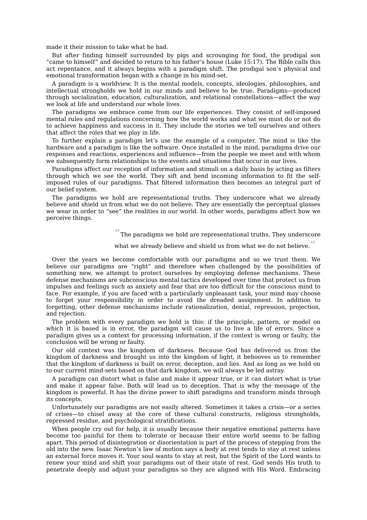made it their mission to take what he had.

But after finding himself surrounded by pigs and scrounging for food, the prodigal son "came to himself" and decided to return to his father's house (Luke 15:17). The Bible calls this act repentance, and it always begins with a paradigm shift. The prodigal son's physical and emotional transformation began with a change in his mind-set.

A paradigm is a worldview. It is the mental models, concepts, ideologies, philosophies, and intellectual strongholds we hold in our minds and believe to be true. Paradigms—produced through socialization, education, culturalization, and relational constellations—affect the way we look at life and understand our whole lives.

The paradigms we embrace come from our life experiences. They consist of self-imposed mental rules and regulations concerning how the world works and what we must do or not do to achieve happiness and success in it. They include the stories we tell ourselves and others that affect the roles that we play in life.

To further explain a paradigm let's use the example of a computer. The mind is like the hardware and a paradigm is like the software. Once installed in the mind, paradigms drive our responses and reactions, experiences and influence—from the people we meet and with whom we subsequently form relationships to the events and situations that occur in our lives.

Paradigms affect our reception of information and stimuli on a daily basis by acting as filters through which we see the world. They sift and bend incoming information to fit the selfimposed rules of our paradigms. That filtered information then becomes an integral part of our belief system.

The paradigms we hold are representational truths. They underscore what we already believe and shield us from what we do not believe. They are essentially the perceptual glasses we wear in order to "see" the realities in our world. In other words, paradigms affect how we perceive things.

**"** The paradigms we hold are representational truths. They underscore

what we already believe and shield us from what we do not believe.**"**

Over the years we become comfortable with our paradigms and so we trust them. We believe our paradigms are "right" and therefore when challenged by the possibilities of something new, we attempt to protect ourselves by employing defense mechanisms. These defense mechanisms are subconscious mental tactics developed over time that protect us from impulses and feelings such as anxiety and fear that are too difficult for the conscious mind to face. For example, if you are faced with a particularly unpleasant task, your mind may choose to forget your responsibility in order to avoid the dreaded assignment. In addition to forgetting, other defense mechanisms include rationalization, denial, repression, projection, and rejection.

The problem with every paradigm we hold is this: if the principle, pattern, or model on which it is based is in error, the paradigm will cause us to live a life of errors. Since a paradigm gives us a context for processing information, if the context is wrong or faulty, the conclusion will be wrong or faulty.

Our old context was the kingdom of darkness. Because God has delivered us from the kingdom of darkness and brought us into the kingdom of light, it behooves us to remember that the kingdom of darkness is built on error, deception, and lies. And as long as we hold on to our current mind-sets based on that dark kingdom, we will always be led astray.

A paradigm can distort what is false and make it appear true, or it can distort what is true and make it appear false. Both will lead us to deception. That is why the message of the kingdom is powerful. It has the divine power to shift paradigms and transform minds through its concepts.

Unfortunately our paradigms are not easily altered. Sometimes it takes a crisis—or a series of crises—to chisel away at the core of these cultural constructs, religious strongholds, repressed residue, and psychological stratifications.

When people cry out for help, it is usually because their negative emotional patterns have become too painful for them to tolerate or because their entire world seems to be falling apart. This period of disintegration or disorientation is part of the process of stepping from the old into the new. Isaac Newton's law of motion says a body at rest tends to stay at rest unless an external force moves it. Your soul wants to stay at rest, but the Spirit of the Lord wants to renew your mind and shift your paradigms out of their state of rest. God sends His truth to penetrate deeply and adjust your paradigms so they are aligned with His Word. Embracing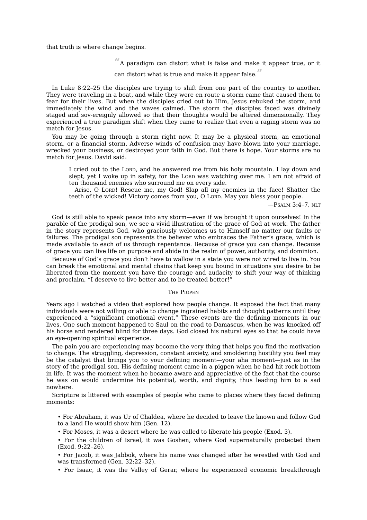that truth is where change begins.

**"** A paradigm can distort what is false and make it appear true, or it

can distort what is true and make it appear false.**"**

In Luke 8:22–25 the disciples are trying to shift from one part of the country to another. They were traveling in a boat, and while they were en route a storm came that caused them to fear for their lives. But when the disciples cried out to Him, Jesus rebuked the storm, and immediately the wind and the waves calmed. The storm the disciples faced was divinely staged and sov-ereignly allowed so that their thoughts would be altered dimensionally. They experienced a true paradigm shift when they came to realize that even a raging storm was no match for Jesus.

You may be going through a storm right now. It may be a physical storm, an emotional storm, or a financial storm. Adverse winds of confusion may have blown into your marriage, wrecked your business, or destroyed your faith in God. But there is hope. Your storms are no match for Jesus. David said:

I cried out to the LORD, and he answered me from his holy mountain. I lay down and slept, yet I woke up in safety, for the LORD was watching over me. I am not afraid of ten thousand enemies who surround me on every side.

Arise, O LORD! Rescue me, my God! Slap all my enemies in the face! Shatter the teeth of the wicked! Victory comes from you, O LORD. May you bless your people.

—PSALM 3:4–7, NLT

God is still able to speak peace into any storm—even if we brought it upon ourselves! In the parable of the prodigal son, we see a vivid illustration of the grace of God at work. The father in the story represents God, who graciously welcomes us to Himself no matter our faults or failures. The prodigal son represents the believer who embraces the Father's grace, which is made available to each of us through repentance. Because of grace you can change. Because of grace you can live life on purpose and abide in the realm of power, authority, and dominion.

Because of God's grace you don't have to wallow in a state you were not wired to live in. You can break the emotional and mental chains that keep you bound in situations you desire to be liberated from the moment you have the courage and audacity to shift your way of thinking and proclaim, "I deserve to live better and to be treated better!"

#### THE PIGPEN

Years ago I watched a video that explored how people change. It exposed the fact that many individuals were not willing or able to change ingrained habits and thought patterns until they experienced a "significant emotional event." These events are the defining moments in our lives. One such moment happened to Saul on the road to Damascus, when he was knocked off his horse and rendered blind for three days. God closed his natural eyes so that he could have an eye-opening spiritual experience.

The pain you are experiencing may become the very thing that helps you find the motivation to change. The struggling, depression, constant anxiety, and smoldering hostility you feel may be the catalyst that brings you to your defining moment—your aha moment—just as in the story of the prodigal son. His defining moment came in a pigpen when he had hit rock bottom in life. It was the moment when he became aware and appreciative of the fact that the course he was on would undermine his potential, worth, and dignity, thus leading him to a sad nowhere.

Scripture is littered with examples of people who came to places where they faced defining moments:

• For Abraham, it was Ur of Chaldea, where he decided to leave the known and follow God to a land He would show him (Gen. 12).

• For Moses, it was a desert where he was called to liberate his people (Exod. 3).

• For the children of Israel, it was Goshen, where God supernaturally protected them (Exod. 9:22–26).

• For Jacob, it was Jabbok, where his name was changed after he wrestled with God and was transformed (Gen. 32:22–32).

• For Isaac, it was the Valley of Gerar, where he experienced economic breakthrough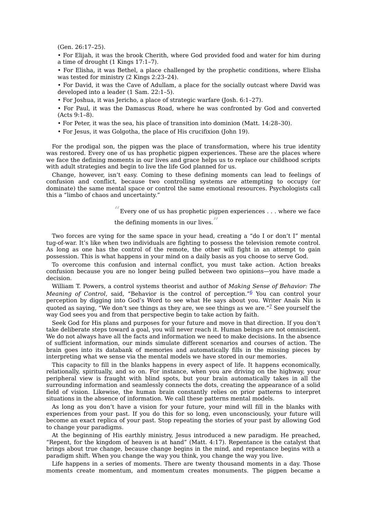(Gen. 26:17–25).

• For Elijah, it was the brook Cherith, where God provided food and water for him during a time of drought (1 Kings 17:1–7).

• For Elisha, it was Bethel, a place challenged by the prophetic conditions, where Elisha was tested for ministry (2 Kings 2:23–24).

• For David, it was the Cave of Adullam, a place for the socially outcast where David was developed into a leader (1 Sam. 22:1–5).

• For Joshua, it was Jericho, a place of strategic warfare (Josh. 6:1–27).

• For Paul, it was the Damascus Road, where he was confronted by God and converted (Acts 9:1–8).

• For Peter, it was the sea, his place of transition into dominion (Matt. 14:28–30).

• For Jesus, it was Golgotha, the place of His crucifixion (John 19).

For the prodigal son, the pigpen was the place of transformation, where his true identity was restored. Every one of us has prophetic pigpen experiences. These are the places where we face the defining moments in our lives and grace helps us to replace our childhood scripts with adult strategies and begin to live the life God planned for us.

Change, however, isn't easy. Coming to these defining moments can lead to feelings of confusion and conflict, because two controlling systems are attempting to occupy (or dominate) the same mental space or control the same emotional resources. Psychologists call this a "limbo of chaos and uncertainty."

**"** Every one of us has prophetic pigpen experiences . . . where we face

the defining moments in our lives.**"**

Two forces are vying for the same space in your head, creating a "do I or don't I" mental tug-of-war. It's like when two individuals are fighting to possess the television remote control. As long as one has the control of the remote, the other will fight in an attempt to gain possession. This is what happens in your mind on a daily basis as you choose to serve God.

To overcome this confusion and internal conflict, you must take action. Action breaks confusion because you are no longer being pulled between two opinions—you have made a decision.

William T. Powers, a control systems theorist and author of *Making Sense of Behavior: The Meaning of Control*, said, "Behavior is the control of perception." <sup>6</sup> You can control your perception by digging into God's Word to see what He says about you. Writer Anaïs Nin is quoted as saying, "We don't see things as they are, we see things as we are."<sup>7</sup> See yourself the way God sees you and from that perspective begin to take action by faith.

Seek God for His plans and purposes for your future and move in that direction. If you don't take deliberate steps toward a goal, you will never reach it. Human beings are not omniscient. We do not always have all the facts and information we need to make decisions. In the absence of sufficient information, our minds simulate different scenarios and courses of action. The brain goes into its databank of memories and automatically fills in the missing pieces by interpreting what we sense via the mental models we have stored in our memories.

This capacity to fill in the blanks happens in every aspect of life. It happens economically, relationally, spiritually, and so on. For instance, when you are driving on the highway, your peripheral view is fraught with blind spots, but your brain automatically takes in all the surrounding information and seamlessly connects the dots, creating the appearance of a solid field of vision. Likewise, the human brain constantly relies on prior patterns to interpret situations in the absence of information. We call these patterns mental models.

As long as you don't have a vision for your future, your mind will fill in the blanks with experiences from your past. If you do this for so long, even unconsciously, your future will become an exact replica of your past. Stop repeating the stories of your past by allowing God to change your paradigms.

At the beginning of His earthly ministry, Jesus introduced a new paradigm. He preached, "Repent, for the kingdom of heaven is at hand" (Matt. 4:17). Repentance is the catalyst that brings about true change, because change begins in the mind, and repentance begins with a paradigm shift. When you change the way you think, you change the way you live.

Life happens in a series of moments. There are twenty thousand moments in a day. Those moments create momentum, and momentum creates monuments. The pigpen became a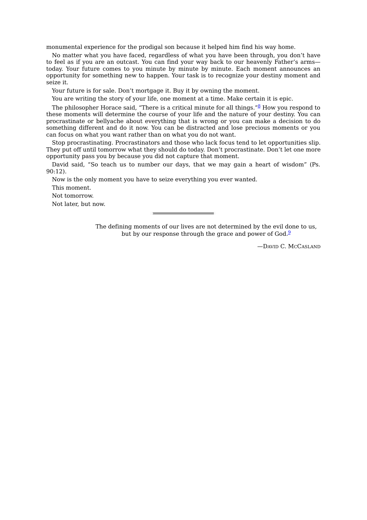monumental experience for the prodigal son because it helped him find his way home.

No matter what you have faced, regardless of what you have been through, you don't have to feel as if you are an outcast. You can find your way back to our heavenly Father's arms today. Your future comes to you minute by minute by minute. Each moment announces an opportunity for something new to happen. Your task is to recognize your destiny moment and seize it.

Your future is for sale. Don't mortgage it. Buy it by owning the moment.

You are writing the story of your life, one moment at a time. Make certain it is epic.

The philosopher Horace said, "There is a critical minute for all things." $^{\underline{8}}$  How you respond to these moments will determine the course of your life and the nature of your destiny. You can procrastinate or bellyache about everything that is wrong or you can make a decision to do something different and do it now. You can be distracted and lose precious moments or you can focus on what you want rather than on what you do not want.

Stop procrastinating. Procrastinators and those who lack focus tend to let opportunities slip. They put off until tomorrow what they should do today. Don't procrastinate. Don't let one more opportunity pass you by because you did not capture that moment.

David said, "So teach us to number our days, that we may gain a heart of wisdom" (Ps. 90:12).

Now is the only moment you have to seize everything you ever wanted.

This moment.

Not tomorrow.

Not later, but now.

The defining moments of our lives are not determined by the evil done to us, but by our response through the grace and power of God.<sup>9</sup>

—DAVID C. MCCASLAND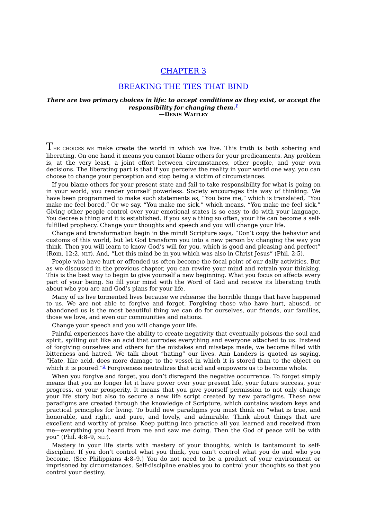## CHAPTER 3

## BREAKING THE TIES THAT BIND

#### *There are two primary choices in life: to accept conditions as they exist, or accept the responsibility for changing them.<sup>1</sup>* **—DENIS WAITLEY**

 $T_{HE}$  choices we make create the world in which we live. This truth is both sobering and liberating. On one hand it means you cannot blame others for your predicaments. Any problem is, at the very least, a joint effort between circumstances, other people, and your own decisions. The liberating part is that if you perceive the reality in your world one way, you can choose to change your perception and stop being a victim of circumstances.

If you blame others for your present state and fail to take responsibility for what is going on in your world, you render yourself powerless. Society encourages this way of thinking. We have been programmed to make such statements as, "You bore me," which is translated, "You make me feel bored." Or we say, "You make me sick," which means, "You make me feel sick." Giving other people control over your emotional states is so easy to do with your language. You decree a thing and it is established. If you say a thing so often, your life can become a selffulfilled prophecy. Change your thoughts and speech and you will change your life.

Change and transformation begin in the mind! Scripture says, "Don't copy the behavior and customs of this world, but let God transform you into a new person by changing the way you think. Then you will learn to know God's will for you, which is good and pleasing and perfect" (Rom. 12:2, NLT). And, "Let this mind be in you which was also in Christ Jesus" (Phil. 2:5).

People who have hurt or offended us often become the focal point of our daily activities. But as we discussed in the previous chapter, you can rewire your mind and retrain your thinking. This is the best way to begin to give yourself a new beginning. What you focus on affects every part of your being. So fill your mind with the Word of God and receive its liberating truth about who you are and God's plans for your life.

Many of us live tormented lives because we rehearse the horrible things that have happened to us. We are not able to forgive and forget. Forgiving those who have hurt, abused, or abandoned us is the most beautiful thing we can do for ourselves, our friends, our families, those we love, and even our communities and nations.

Change your speech and you will change your life.

Painful experiences have the ability to create negativity that eventually poisons the soul and spirit, spilling out like an acid that corrodes everything and everyone attached to us. Instead of forgiving ourselves and others for the mistakes and missteps made, we become filled with bitterness and hatred. We talk about "hating" our lives. Ann Landers is quoted as saying, "Hate, like acid, does more damage to the vessel in which it is stored than to the object on which it is poured." $^{2}$  Forgiveness neutralizes that acid and empowers us to become whole.

When you forgive and forget, you don't disregard the negative occurrence. To forget simply means that you no longer let it have power over your present life, your future success, your progress, or your prosperity. It means that you give yourself permission to not only change your life story but also to secure a new life script created by new paradigms. These new paradigms are created through the knowledge of Scripture, which contains wisdom keys and practical principles for living. To build new paradigms you must think on "what is true, and honorable, and right, and pure, and lovely, and admirable. Think about things that are excellent and worthy of praise. Keep putting into practice all you learned and received from me—everything you heard from me and saw me doing. Then the God of peace will be with you" (Phil. 4:8–9, NLT).

Mastery in your life starts with mastery of your thoughts, which is tantamount to selfdiscipline. If you don't control what you think, you can't control what you do and who you become. (See Philippians 4:8–9.) You do not need to be a product of your environment or imprisoned by circumstances. Self-discipline enables you to control your thoughts so that you control your destiny.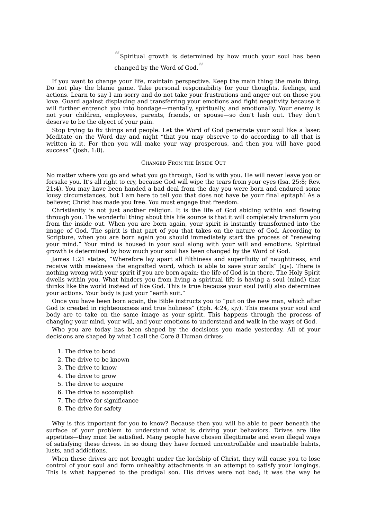**"** Spiritual growth is determined by how much your soul has been

changed by the Word of God.**"**

If you want to change your life, maintain perspective. Keep the main thing the main thing. Do not play the blame game. Take personal responsibility for your thoughts, feelings, and actions. Learn to say I am sorry and do not take your frustrations and anger out on those you love. Guard against displacing and transferring your emotions and fight negativity because it will further entrench you into bondage—mentally, spiritually, and emotionally. Your enemy is not your children, employees, parents, friends, or spouse—so don't lash out. They don't deserve to be the object of your pain.

Stop trying to fix things and people. Let the Word of God penetrate your soul like a laser. Meditate on the Word day and night "that you may observe to do according to all that is written in it. For then you will make your way prosperous, and then you will have good success" (Josh. 1:8).

#### CHANGED FROM THE INSIDE OUT

No matter where you go and what you go through, God is with you. He will never leave you or forsake you. It's all right to cry, because God will wipe the tears from your eyes (Isa. 25:8; Rev. 21:4). You may have been handed a bad deal from the day you were born and endured some lousy circumstances, but I am here to tell you that does not have be your final epitaph! As a believer, Christ has made you free. You must engage that freedom.

Christianity is not just another religion. It is the life of God abiding within and flowing through you. The wonderful thing about this life source is that it will completely transform you from the inside out. When you are born again, your spirit is instantly transformed into the image of God. The spirit is that part of you that takes on the nature of God. According to Scripture, when you are born again you should immediately start the process of "renewing your mind." Your mind is housed in your soul along with your will and emotions. Spiritual growth is determined by how much your soul has been changed by the Word of God.

James 1:21 states, "Wherefore lay apart all filthiness and superfluity of naughtiness, and receive with meekness the engrafted word, which is able to save your souls"  $(KyV)$ . There is nothing wrong with your spirit if you are born again; the life of God is in there. The Holy Spirit dwells within you. What hinders you from living a spiritual life is having a soul (mind) that thinks like the world instead of like God. This is true because your soul (will) also determines your actions. Your body is just your "earth suit."

Once you have been born again, the Bible instructs you to "put on the new man, which after God is created in righteousness and true holiness" (Eph. 4:24, KJV). This means your soul and body are to take on the same image as your spirit. This happens through the process of changing your mind, your will, and your emotions to understand and walk in the ways of God.

Who you are today has been shaped by the decisions you made yesterday. All of your decisions are shaped by what I call the Core 8 Human drives:

- 1. The drive to bond
- 2. The drive to be known
- 3. The drive to know
- 4. The drive to grow
- 5. The drive to acquire
- 6. The drive to accomplish
- 7. The drive for significance
- 8. The drive for safety

Why is this important for you to know? Because then you will be able to peer beneath the surface of your problem to understand what is driving your behaviors. Drives are like appetites—they must be satisfied. Many people have chosen illegitimate and even illegal ways of satisfying these drives. In so doing they have formed uncontrollable and insatiable habits, lusts, and addictions.

When these drives are not brought under the lordship of Christ, they will cause you to lose control of your soul and form unhealthy attachments in an attempt to satisfy your longings. This is what happened to the prodigal son. His drives were not bad; it was the way he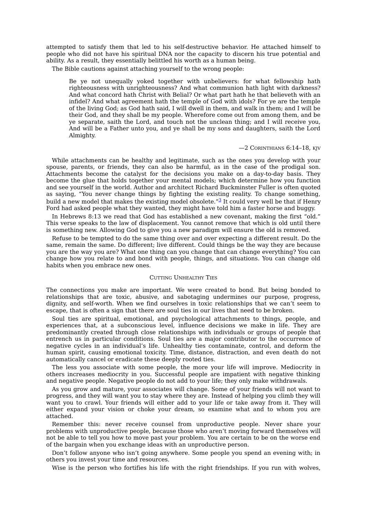attempted to satisfy them that led to his self-destructive behavior. He attached himself to people who did not have his spiritual DNA nor the capacity to discern his true potential and ability. As a result, they essentially belittled his worth as a human being.

The Bible cautions against attaching yourself to the wrong people:

Be ye not unequally yoked together with unbelievers: for what fellowship hath righteousness with unrighteousness? And what communion hath light with darkness? And what concord hath Christ with Belial? Or what part hath he that believeth with an infidel? And what agreement hath the temple of God with idols? For ye are the temple of the living God; as God hath said, I will dwell in them, and walk in them; and I will be their God, and they shall be my people. Wherefore come out from among them, and be ye separate, saith the Lord, and touch not the unclean thing; and I will receive you, And will be a Father unto you, and ye shall be my sons and daughters, saith the Lord Almighty.

 $-2$  CORINTHIANS  $6:14-18$ , KJV

While attachments can be healthy and legitimate, such as the ones you develop with your spouse, parents, or friends, they can also be harmful, as in the case of the prodigal son. Attachments become the catalyst for the decisions you make on a day-to-day basis. They become the glue that holds together your mental models; which determine how you function and see yourself in the world. Author and architect Richard Buckminster Fuller is often quoted as saying, "You never change things by fighting the existing reality. To change something, build a new model that makes the existing model obsolete." $^3$  It could very well be that if Henry Ford had asked people what they wanted, they might have told him a faster horse and buggy.

In Hebrews 8:13 we read that God has established a new covenant, making the first "old." This verse speaks to the law of displacement. You cannot remove that which is old until there is something new. Allowing God to give you a new paradigm will ensure the old is removed.

Refuse to be tempted to do the same thing over and over expecting a different result. Do the same, remain the same. Do different; live different. Could things be the way they are because you are the way you are? What one thing can you change that can change everything? You can change how you relate to and bond with people, things, and situations. You can change old habits when you embrace new ones.

#### CUTTING UNHEALTHY TIES

The connections you make are important. We were created to bond. But being bonded to relationships that are toxic, abusive, and sabotaging undermines our purpose, progress, dignity, and self-worth. When we find ourselves in toxic relationships that we can't seem to escape, that is often a sign that there are soul ties in our lives that need to be broken.

Soul ties are spiritual, emotional, and psychological attachments to things, people, and experiences that, at a subconscious level, influence decisions we make in life. They are predominantly created through close relationships with individuals or groups of people that entrench us in particular conditions. Soul ties are a major contributor to the occurrence of negative cycles in an individual's life. Unhealthy ties contaminate, control, and deform the human spirit, causing emotional toxicity. Time, distance, distraction, and even death do not automatically cancel or eradicate these deeply rooted ties.

The less you associate with some people, the more your life will improve. Mediocrity in others increases mediocrity in you. Successful people are impatient with negative thinking and negative people. Negative people do not add to your life; they only make withdrawals.

As you grow and mature, your associates will change. Some of your friends will not want to progress, and they will want you to stay where they are. Instead of helping you climb they will want you to crawl. Your friends will either add to your life or take away from it. They will either expand your vision or choke your dream, so examine what and to whom you are attached.

Remember this: never receive counsel from unproductive people. Never share your problems with unproductive people, because those who aren't moving forward themselves will not be able to tell you how to move past your problem. You are certain to be on the worse end of the bargain when you exchange ideas with an unproductive person.

Don't follow anyone who isn't going anywhere. Some people you spend an evening with; in others you invest your time and resources.

Wise is the person who fortifies his life with the right friendships. If you run with wolves,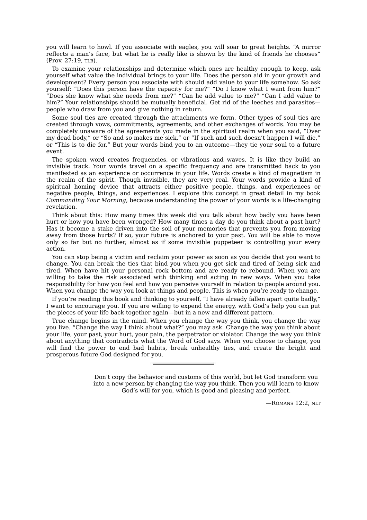you will learn to howl. If you associate with eagles, you will soar to great heights. "A mirror reflects a man's face, but what he is really like is shown by the kind of friends he chooses" (Prov. 27:19, TLB).

To examine your relationships and determine which ones are healthy enough to keep, ask yourself what value the individual brings to your life. Does the person aid in your growth and development? Every person you associate with should add value to your life somehow. So ask yourself: "Does this person have the capacity for me?" "Do I know what I want from him?" "Does she know what she needs from me?" "Can he add value to me?" "Can I add value to him?" Your relationships should be mutually beneficial. Get rid of the leeches and parasites people who draw from you and give nothing in return.

Some soul ties are created through the attachments we form. Other types of soul ties are created through vows, commitments, agreements, and other exchanges of words. You may be completely unaware of the agreements you made in the spiritual realm when you said, "Over my dead body," or "So and so makes me sick," or "If such and such doesn't happen I will die," or "This is to die for." But your words bind you to an outcome—they tie your soul to a future event.

The spoken word creates frequencies, or vibrations and waves. It is like they build an invisible track. Your words travel on a specific frequency and are transmitted back to you manifested as an experience or occurrence in your life. Words create a kind of magnetism in the realm of the spirit. Though invisible, they are very real. Your words provide a kind of spiritual homing device that attracts either positive people, things, and experiences or negative people, things, and experiences. I explore this concept in great detail in my book *Commanding Your Morning*, because understanding the power of your words is a life-changing revelation.

Think about this: How many times this week did you talk about how badly you have been hurt or how you have been wronged? How many times a day do you think about a past hurt? Has it become a stake driven into the soil of your memories that prevents you from moving away from those hurts? If so, your future is anchored to your past. You will be able to move only so far but no further, almost as if some invisible puppeteer is controlling your every action.

You can stop being a victim and reclaim your power as soon as you decide that you want to change. You can break the ties that bind you when you get sick and tired of being sick and tired. When have hit your personal rock bottom and are ready to rebound. When you are willing to take the risk associated with thinking and acting in new ways. When you take responsibility for how you feel and how you perceive yourself in relation to people around you. When you change the way you look at things and people. This is when you're ready to change.

If you're reading this book and thinking to yourself, "I have already fallen apart quite badly," I want to encourage you. If you are willing to expend the energy, with God's help you can put the pieces of your life back together again—but in a new and different pattern.

True change begins in the mind. When you change the way you think, you change the way you live. "Change the way I think about what?" you may ask. Change the way you think about your life, your past, your hurt, your pain, the perpetrator or violator. Change the way you think about anything that contradicts what the Word of God says. When you choose to change, you will find the power to end bad habits, break unhealthy ties, and create the bright and prosperous future God designed for you.

> Don't copy the behavior and customs of this world, but let God transform you into a new person by changing the way you think. Then you will learn to know God's will for you, which is good and pleasing and perfect.

> > —ROMANS 12:2, NLT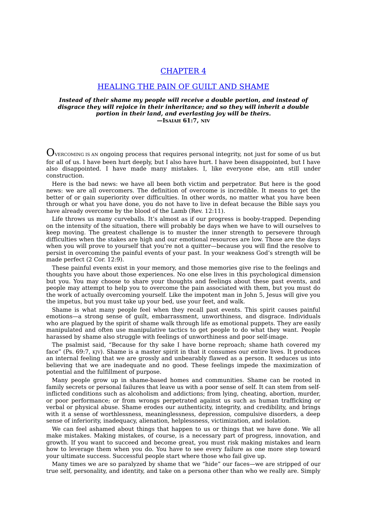## CHAPTER 4

## HEALING THE PAIN OF GUILT AND SHAME

#### *Instead of their shame my people will receive a double portion, and instead of disgrace they will rejoice in their inheritance; and so they will inherit a double portion in their land, and everlasting joy will be theirs.* **—ISAIAH 61:7, NIV**

 $\mathbf{O}_{\text{VERCOMING IS AN}}$  ongoing process that requires personal integrity, not just for some of us but for all of us. I have been hurt deeply, but I also have hurt. I have been disappointed, but I have also disappointed. I have made many mistakes. I, like everyone else, am still under construction.

Here is the bad news: we have all been both victim and perpetrator. But here is the good news: we are all overcomers. The definition of overcome is incredible. It means to get the better of or gain superiority over difficulties. In other words, no matter what you have been through or what you have done, you do not have to live in defeat because the Bible says you have already overcome by the blood of the Lamb (Rev. 12:11).

Life throws us many curveballs. It's almost as if our progress is booby-trapped. Depending on the intensity of the situation, there will probably be days when we have to will ourselves to keep moving. The greatest challenge is to muster the inner strength to persevere through difficulties when the stakes are high and our emotional resources are low. Those are the days when you will prove to yourself that you're not a quitter—because you will find the resolve to persist in overcoming the painful events of your past. In your weakness God's strength will be made perfect (2 Cor. 12:9).

These painful events exist in your memory, and those memories give rise to the feelings and thoughts you have about those experiences. No one else lives in this psychological dimension but you. You may choose to share your thoughts and feelings about these past events, and people may attempt to help you to overcome the pain associated with them, but you must do the work of actually overcoming yourself. Like the impotent man in John 5, Jesus will give you the impetus, but you must take up your bed, use your feet, and walk.

Shame is what many people feel when they recall past events. This spirit causes painful emotions—a strong sense of guilt, embarrassment, unworthiness, and disgrace. Individuals who are plagued by the spirit of shame walk through life as emotional puppets. They are easily manipulated and often use manipulative tactics to get people to do what they want. People harassed by shame also struggle with feelings of unworthiness and poor self-image.

The psalmist said, "Because for thy sake I have borne reproach; shame hath covered my face" (Ps. 69:7, KIV). Shame is a master spirit in that it consumes our entire lives. It produces an internal feeling that we are grossly and unbearably flawed as a person. It seduces us into believing that we are inadequate and no good. These feelings impede the maximization of potential and the fulfillment of purpose.

Many people grow up in shame-based homes and communities. Shame can be rooted in family secrets or personal failures that leave us with a poor sense of self. It can stem from selfinflicted conditions such as alcoholism and addictions; from lying, cheating, abortion, murder, or poor performance; or from wrongs perpetrated against us such as human trafficking or verbal or physical abuse. Shame erodes our authenticity, integrity, and credibility, and brings with it a sense of worthlessness, meaninglessness, depression, compulsive disorders, a deep sense of inferiority, inadequacy, alienation, helplessness, victimization, and isolation.

We can feel ashamed about things that happen to us or things that we have done. We all make mistakes. Making mistakes, of course, is a necessary part of progress, innovation, and growth. If you want to succeed and become great, you must risk making mistakes and learn how to leverage them when you do. You have to see every failure as one more step toward your ultimate success. Successful people start where those who fail give up.

Many times we are so paralyzed by shame that we "hide" our faces—we are stripped of our true self, personality, and identity, and take on a persona other than who we really are. Simply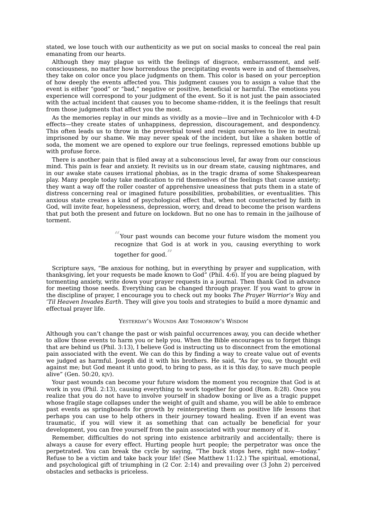stated, we lose touch with our authenticity as we put on social masks to conceal the real pain emanating from our hearts.

Although they may plague us with the feelings of disgrace, embarrassment, and selfconsciousness, no matter how horrendous the precipitating events were in and of themselves, they take on color once you place judgments on them. This color is based on your perception of how deeply the events affected you. This judgment causes you to assign a value that the event is either "good" or "bad," negative or positive, beneficial or harmful. The emotions you experience will correspond to your judgment of the event. So it is not just the pain associated with the actual incident that causes you to become shame-ridden, it is the feelings that result from those judgments that affect you the most.

As the memories replay in our minds as vividly as a movie—live and in Technicolor with 4-D effects—they create states of unhappiness, depression, discouragement, and despondency. This often leads us to throw in the proverbial towel and resign ourselves to live in neutral; imprisoned by our shame. We may never speak of the incident, but like a shaken bottle of soda, the moment we are opened to explore our true feelings, repressed emotions bubble up with profuse force.

There is another pain that is filed away at a subconscious level, far away from our conscious mind. This pain is fear and anxiety. It revisits us in our dream state, causing nightmares, and in our awake state causes irrational phobias, as in the tragic drama of some Shakespearean play. Many people today take medication to rid themselves of the feelings that cause anxiety; they want a way off the roller coaster of apprehensive uneasiness that puts them in a state of distress concerning real or imagined future possibilities, probabilities, or eventualities. This anxious state creates a kind of psychological effect that, when not counteracted by faith in God, will invite fear, hopelessness, depression, worry, and dread to become the prison wardens that put both the present and future on lockdown. But no one has to remain in the jailhouse of torment.

> **"** Your past wounds can become your future wisdom the moment you recognize that God is at work in you, causing everything to work together for good.**"**

Scripture says, "Be anxious for nothing, but in everything by prayer and supplication, with thanksgiving, let your requests be made known to God" (Phil. 4:6). If you are being plagued by tormenting anxiety, write down your prayer requests in a journal. Then thank God in advance for meeting those needs. Everything can be changed through prayer. If you want to grow in the discipline of prayer, I encourage you to check out my books *The Prayer Warrior's Way* and *'Til Heaven Invades Earth*. They will give you tools and strategies to build a more dynamic and effectual prayer life.

#### YESTERDAY'S WOUNDS ARE TOMORROW'S WISDOM

Although you can't change the past or wish painful occurrences away, you can decide whether to allow those events to harm you or help you. When the Bible encourages us to forget things that are behind us (Phil. 3:13), I believe God is instructing us to disconnect from the emotional pain associated with the event. We can do this by finding a way to create value out of events we judged as harmful. Joseph did it with his brothers. He said, "As for you, ye thought evil against me; but God meant it unto good, to bring to pass, as it is this day, to save much people alive" (Gen. 50:20, KJV).

Your past wounds can become your future wisdom the moment you recognize that God is at work in you (Phil. 2:13), causing everything to work together for good (Rom. 8:28). Once you realize that you do not have to involve yourself in shadow boxing or live as a tragic puppet whose fragile stage collapses under the weight of guilt and shame, you will be able to embrace past events as springboards for growth by reinterpreting them as positive life lessons that perhaps you can use to help others in their journey toward healing. Even if an event was traumatic, if you will view it as something that can actually be beneficial for your development, you can free yourself from the pain associated with your memory of it.

Remember, difficulties do not spring into existence arbitrarily and accidentally; there is always a cause for every effect. Hurting people hurt people; the perpetrator was once the perpetrated. You can break the cycle by saying, "The buck stops here, right now—today." Refuse to be a victim and take back your life! (See Matthew 11:12.) The spiritual, emotional, and psychological gift of triumphing in (2 Cor. 2:14) and prevailing over (3 John 2) perceived obstacles and setbacks is priceless.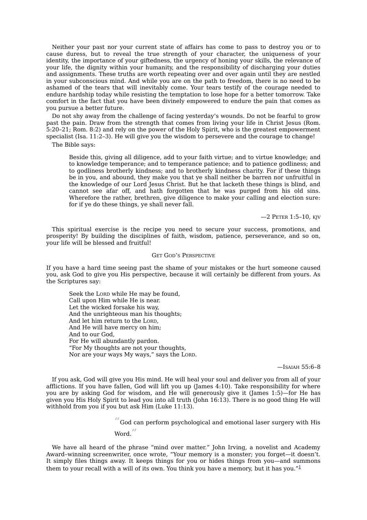Neither your past nor your current state of affairs has come to pass to destroy you or to cause duress, but to reveal the true strength of your character, the uniqueness of your identity, the importance of your giftedness, the urgency of honing your skills, the relevance of your life, the dignity within your humanity, and the responsibility of discharging your duties and assignments. These truths are worth repeating over and over again until they are nestled in your subconscious mind. And while you are on the path to freedom, there is no need to be ashamed of the tears that will inevitably come. Your tears testify of the courage needed to endure hardship today while resisting the temptation to lose hope for a better tomorrow. Take comfort in the fact that you have been divinely empowered to endure the pain that comes as you pursue a better future.

Do not shy away from the challenge of facing yesterday's wounds. Do not be fearful to grow past the pain. Draw from the strength that comes from living your life in Christ Jesus (Rom. 5:20–21; Rom. 8:2) and rely on the power of the Holy Spirit, who is the greatest empowerment specialist (Isa. 11:2–3). He will give you the wisdom to persevere and the courage to change!

The Bible says:

Beside this, giving all diligence, add to your faith virtue; and to virtue knowledge; and to knowledge temperance; and to temperance patience; and to patience godliness; and to godliness brotherly kindness; and to brotherly kindness charity. For if these things be in you, and abound, they make you that ye shall neither be barren nor unfruitful in the knowledge of our Lord Jesus Christ. But he that lacketh these things is blind, and cannot see afar off, and hath forgotten that he was purged from his old sins. Wherefore the rather, brethren, give diligence to make your calling and election sure: for if ye do these things, ye shall never fall.

—2 PETER 1:5–10, KJV

This spiritual exercise is the recipe you need to secure your success, promotions, and prosperity! By building the disciplines of faith, wisdom, patience, perseverance, and so on, your life will be blessed and fruitful!

#### GET GOD'S PERSPECTIVE

If you have a hard time seeing past the shame of your mistakes or the hurt someone caused you, ask God to give you His perspective, because it will certainly be different from yours. As the Scriptures say:

Seek the LORD while He may be found, Call upon Him while He is near. Let the wicked forsake his way, And the unrighteous man his thoughts; And let him return to the LORD, And He will have mercy on him; And to our God, For He will abundantly pardon. "For My thoughts are not your thoughts, Nor are your ways My ways," says the LORD.

—ISAIAH 55:6–8

If you ask, God will give you His mind. He will heal your soul and deliver you from all of your afflictions. If you have fallen, God will lift you up (James 4:10). Take responsibility for where you are by asking God for wisdom, and He will generously give it (James 1:5)—for He has given you His Holy Spirit to lead you into all truth (John 16:13). There is no good thing He will withhold from you if you but ask Him (Luke 11:13).

**"** God can perform psychological and emotional laser surgery with His

Word.**"**

We have all heard of the phrase "mind over matter." John Irving, a novelist and Academy Award–winning screenwriter, once wrote, "Your memory is a monster; you forget—it doesn't. It simply files things away. It keeps things for you or hides things from you—and summons them to your recall with a will of its own. You think you have a memory, but it has you." $^{\underline{\mathsf{1}}}$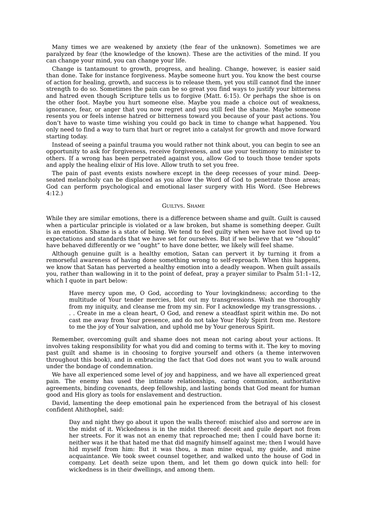Many times we are weakened by anxiety (the fear of the unknown). Sometimes we are paralyzed by fear (the knowledge of the known). These are the activities of the mind. If you can change your mind, you can change your life.

Change is tantamount to growth, progress, and healing. Change, however, is easier said than done. Take for instance forgiveness. Maybe someone hurt you. You know the best course of action for healing, growth, and success is to release them, yet you still cannot find the inner strength to do so. Sometimes the pain can be so great you find ways to justify your bitterness and hatred even though Scripture tells us to forgive (Matt. 6:15). Or perhaps the shoe is on the other foot. Maybe you hurt someone else. Maybe you made a choice out of weakness, ignorance, fear, or anger that you now regret and you still feel the shame. Maybe someone resents you or feels intense hatred or bitterness toward you because of your past actions. You don't have to waste time wishing you could go back in time to change what happened. You only need to find a way to turn that hurt or regret into a catalyst for growth and move forward starting today.

Instead of seeing a painful trauma you would rather not think about, you can begin to see an opportunity to ask for forgiveness, receive forgiveness, and use your testimony to minister to others. If a wrong has been perpetrated against you, allow God to touch those tender spots and apply the healing elixir of His love. Allow truth to set you free.

The pain of past events exists nowhere except in the deep recesses of your mind. Deepseated melancholy can be displaced as you allow the Word of God to penetrate those areas; God can perform psychological and emotional laser surgery with His Word. (See Hebrews 4:12.)

#### GUILTVS. SHAME

While they are similar emotions, there is a difference between shame and guilt. Guilt is caused when a particular principle is violated or a law broken, but shame is something deeper. Guilt is an emotion. Shame is a state of being. We tend to feel guilty when we have not lived up to expectations and standards that we have set for ourselves. But if we believe that we "should" have behaved differently or we "ought" to have done better, we likely will feel shame.

Although genuine guilt is a healthy emotion, Satan can pervert it by turning it from a remorseful awareness of having done something wrong to self-reproach. When this happens, we know that Satan has perverted a healthy emotion into a deadly weapon. When guilt assails you, rather than wallowing in it to the point of defeat, pray a prayer similar to Psalm 51:1–12, which I quote in part below:

Have mercy upon me, O God, according to Your lovingkindness; according to the multitude of Your tender mercies, blot out my transgressions. Wash me thoroughly from my iniquity, and cleanse me from my sin. For I acknowledge my transgressions. . . . Create in me a clean heart, O God, and renew a steadfast spirit within me. Do not cast me away from Your presence, and do not take Your Holy Spirit from me. Restore to me the joy of Your salvation, and uphold me by Your generous Spirit.

Remember, overcoming guilt and shame does not mean not caring about your actions. It involves taking responsibility for what you did and coming to terms with it. The key to moving past guilt and shame is in choosing to forgive yourself and others (a theme interwoven throughout this book), and in embracing the fact that God does not want you to walk around under the bondage of condemnation.

We have all experienced some level of joy and happiness, and we have all experienced great pain. The enemy has used the intimate relationships, caring communion, authoritative agreements, binding covenants, deep fellowship, and lasting bonds that God meant for human good and His glory as tools for enslavement and destruction.

David, lamenting the deep emotional pain he experienced from the betrayal of his closest confident Ahithophel, said:

Day and night they go about it upon the walls thereof: mischief also and sorrow are in the midst of it. Wickedness is in the midst thereof: deceit and guile depart not from her streets. For it was not an enemy that reproached me; then  $\tilde{I}$  could have borne it: neither was it he that hated me that did magnify himself against me; then I would have hid myself from him: But it was thou, a man mine equal, my guide, and mine acquaintance. We took sweet counsel together, and walked unto the house of God in company. Let death seize upon them, and let them go down quick into hell: for wickedness is in their dwellings, and among them.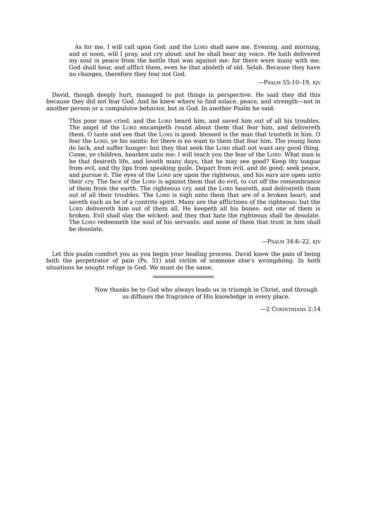As for me, I will call upon God; and the LORD shall save me. Evening, and morning, and at noon, will I pray, and cry aloud: and he shall hear my voice. He hath delivered my soul in peace from the battle that was against me: for there were many with me. God shall hear, and afflict them, even he that abideth of old. Selah. Because they have no changes, therefore they fear not God.

—PSALM 55:10–19, KJV

David, though deeply hurt, managed to put things in perspective. He said they did this because they did not fear God. And he knew where to find solace, peace, and strength—not in another person or a compulsive behavior, but in God. In another Psalm he said:

This poor man cried, and the LORD heard him, and saved him out of all his troubles. The angel of the LORD encampeth round about them that fear him, and delivereth them. O taste and see that the LORD is good: blessed is the man that trusteth in him. O fear the LORD, ye his saints: for there is no want to them that fear him. The young lions do lack, and suffer hunger: but they that seek the LORD shall not want any good thing. Come, ye children, hearken unto me: I will teach you the fear of the LORD. What man is he that desireth life, and loveth many days, that he may see good? Keep thy tongue from evil, and thy lips from speaking guile. Depart from evil, and do good; seek peace, and pursue it. The eyes of the LORD are upon the righteous, and his ears are open unto their cry. The face of the LORD is against them that do evil, to cut off the remembrance of them from the earth. The righteous cry, and the LORD heareth, and delivereth them out of all their troubles. The LORD is nigh unto them that are of a broken heart; and saveth such as be of a contrite spirit. Many are the afflictions of the righteous: but the LORD delivereth him out of them all. He keepeth all his bones: not one of them is broken. Evil shall slay the wicked: and they that hate the righteous shall be desolate. The LORD redeemeth the soul of his servants: and none of them that trust in him shall be desolate.

—PSALM 34:6–22, KJV

Let this psalm comfort you as you begin your healing process. David knew the pain of being both the perpetrator of pain (Ps. 51) and victim of someone else's wrongdoing. In both situations he sought refuge in God. We must do the same.

> Now thanks be to God who always leads us in triumph in Christ, and through us diffuses the fragrance of His knowledge in every place.

> > —2 CORINTHIANS 2:14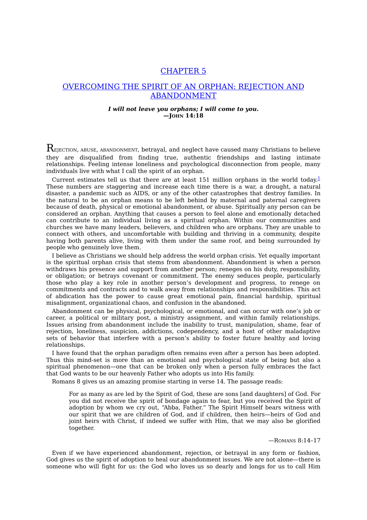## CHAPTER 5

## OVERCOMING THE SPIRIT OF AN ORPHAN: REJECTION AND ABANDONMENT

#### *I will not leave you orphans; I will come to you.* **—JOHN 14:18**

 $R_{\text{EJECTION, ABUSE, ABANDONMENT, between}}$  and neglect have caused many Christians to believe they are disqualified from finding true, authentic friendships and lasting intimate relationships. Feeling intense loneliness and psychological disconnection from people, many individuals live with what I call the spirit of an orphan.

Current estimates tell us that there are at least 151 million orphans in the world today.<sup>1</sup> These numbers are staggering and increase each time there is a war, a drought, a natural disaster, a pandemic such as AIDS, or any of the other catastrophes that destroy families. In the natural to be an orphan means to be left behind by maternal and paternal caregivers because of death, physical or emotional abandonment, or abuse. Spiritually any person can be considered an orphan. Anything that causes a person to feel alone and emotionally detached can contribute to an individual living as a spiritual orphan. Within our communities and churches we have many leaders, believers, and children who are orphans. They are unable to connect with others, and uncomfortable with building and thriving in a community, despite having both parents alive, living with them under the same roof, and being surrounded by people who genuinely love them.

I believe as Christians we should help address the world orphan crisis. Yet equally important is the spiritual orphan crisis that stems from abandonment. Abandonment is when a person withdraws his presence and support from another person; reneges on his duty, responsibility, or obligation; or betrays covenant or commitment. The enemy seduces people, particularly those who play a key role in another person's development and progress, to renege on commitments and contracts and to walk away from relationships and responsibilities. This act of abdication has the power to cause great emotional pain, financial hardship, spiritual misalignment, organizational chaos, and confusion in the abandoned.

Abandonment can be physical, psychological, or emotional, and can occur with one's job or career, a political or military post, a ministry assignment, and within family relationships. Issues arising from abandonment include the inability to trust, manipulation, shame, fear of rejection, loneliness, suspicion, addictions, codependency, and a host of other maladaptive sets of behavior that interfere with a person's ability to foster future healthy and loving relationships.

I have found that the orphan paradigm often remains even after a person has been adopted. Thus this mind-set is more than an emotional and psychological state of being but also a spiritual phenomenon—one that can be broken only when a person fully embraces the fact that God wants to be our heavenly Father who adopts us into His family.

Romans 8 gives us an amazing promise starting in verse 14. The passage reads:

For as many as are led by the Spirit of God, these are sons [and daughters] of God. For you did not receive the spirit of bondage again to fear, but you received the Spirit of adoption by whom we cry out, "Abba, Father." The Spirit Himself bears witness with our spirit that we are children of God, and if children, then heirs—heirs of God and joint heirs with Christ, if indeed we suffer with Him, that we may also be glorified together.

—ROMANS 8:14–17

Even if we have experienced abandonment, rejection, or betrayal in any form or fashion, God gives us the spirit of adoption to heal our abandonment issues. We are not alone—there is someone who will fight for us: the God who loves us so dearly and longs for us to call Him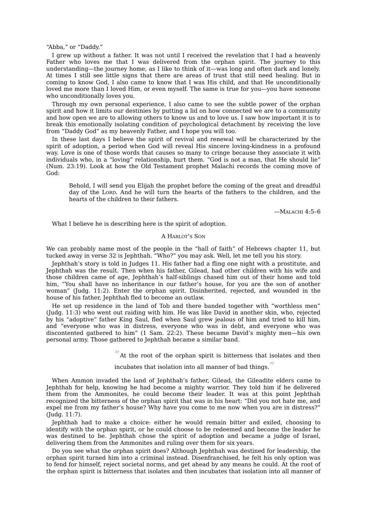"Abba," or "Daddy."

I grew up without a father. It was not until I received the revelation that I had a heavenly Father who loves me that I was delivered from the orphan spirit. The journey to this understanding—the journey home, as I like to think of it—was long and often dark and lonely. At times I still see little signs that there are areas of trust that still need healing. But in coming to know God, I also came to know that I was His child, and that He unconditionally loved me more than I loved Him, or even myself. The same is true for you—you have someone who unconditionally loves you.

Through my own personal experience, I also came to see the subtle power of the orphan spirit and how it limits our destinies by putting a lid on how connected we are to a community and how open we are to allowing others to know us and to love us. I saw how important it is to break this emotionally isolating condition of psychological detachment by receiving the love from "Daddy God" as my heavenly Father, and I hope you will too.

In these last days I believe the spirit of revival and renewal will be characterized by the spirit of adoption, a period when God will reveal His sincere loving-kindness in a profound way. Love is one of those words that causes so many to cringe because they associate it with individuals who, in a "loving" relationship, hurt them. "God is not a man, that He should lie" (Num. 23:19). Look at how the Old Testament prophet Malachi records the coming move of God:

Behold, I will send you Elijah the prophet before the coming of the great and dreadful day of the LORD. And he will turn the hearts of the fathers to the children, and the hearts of the children to their fathers.

—MALACHI 4:5–6

What I believe he is describing here is the spirit of adoption.

#### A HARLOT'S SON

We can probably name most of the people in the "hall of faith" of Hebrews chapter 11, but tucked away in verse 32 is Jephthah. "Who?" you may ask. Well, let me tell you his story.

Jephthah's story is told in Judges 11. His father had a fling one night with a prostitute, and Jephthah was the result. Then when his father, Gilead, had other children with his wife and those children came of age, Jephthah's half-siblings chased him out of their home and told him, "You shall have no inheritance in our father's house, for you are the son of another woman" (Judg. 11:2). Enter the orphan spirit. Disinherited, rejected, and wounded in the house of his father, Jephthah fled to become an outlaw.

He set up residence in the land of Tob and there banded together with "worthless men" (Judg. 11:3) who went out raiding with him. He was like David in another skin, who, rejected by his "adoptive" father King Saul, fled when Saul grew jealous of him and tried to kill him, and "everyone who was in distress, everyone who was in debt, and everyone who was discontented gathered to him" (1 Sam. 22:2). These became David's mighty men—his own personal army. Those gathered to Jephthah became a similar band.

**"** At the root of the orphan spirit is bitterness that isolates and then

incubates that isolation into all manner of bad things.**"**

When Ammon invaded the land of Jephthah's father, Gilead, the Gileadite elders came to Jephthah for help, knowing he had become a mighty warrior. They told him if he delivered them from the Ammonites, he could become their leader. It was at this point Jephthah recognized the bitterness of the orphan spirit that was in his heart: "Did you not hate me, and expel me from my father's house? Why have you come to me now when you are in distress?" (Judg. 11:7).

Jephthah had to make a choice: either he would remain bitter and exiled, choosing to identify with the orphan spirit, or he could choose to be redeemed and become the leader he was destined to be. Jephthah chose the spirit of adoption and became a judge of Israel, delivering them from the Ammonites and ruling over them for six years.

Do you see what the orphan spirit does? Although Jephthah was destined for leadership, the orphan spirit turned him into a criminal instead. Disenfranchised, he felt his only option was to fend for himself, reject societal norms, and get ahead by any means he could. At the root of the orphan spirit is bitterness that isolates and then incubates that isolation into all manner of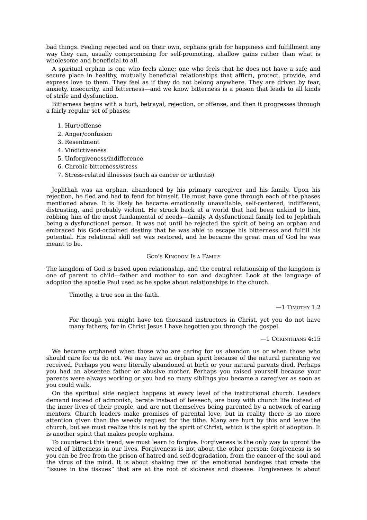bad things. Feeling rejected and on their own, orphans grab for happiness and fulfillment any way they can, usually compromising for self-promoting, shallow gains rather than what is wholesome and beneficial to all.

A spiritual orphan is one who feels alone; one who feels that he does not have a safe and secure place in healthy, mutually beneficial relationships that affirm, protect, provide, and express love to them. They feel as if they do not belong anywhere. They are driven by fear, anxiety, insecurity, and bitterness—and we know bitterness is a poison that leads to all kinds of strife and dysfunction.

Bitterness begins with a hurt, betrayal, rejection, or offense, and then it progresses through a fairly regular set of phases:

- 1. Hurt/offense
- 2. Anger/confusion
- 3. Resentment
- 4. Vindictiveness
- 5. Unforgiveness/indifference
- 6. Chronic bitterness/stress
- 7. Stress-related illnesses (such as cancer or arthritis)

Jephthah was an orphan, abandoned by his primary caregiver and his family. Upon his rejection, he fled and had to fend for himself. He must have gone through each of the phases mentioned above. It is likely he became emotionally unavailable, self-centered, indifferent, distrusting, and probably violent. He struck back at a world that had been unkind to him, robbing him of the most fundamental of needs—family. A dysfunctional family led to Jephthah being a dysfunctional person. It was not until he rejected the spirit of being an orphan and embraced his God-ordained destiny that he was able to escape his bitterness and fulfill his potential. His relational skill set was restored, and he became the great man of God he was meant to be.

#### GOD'S KINGDOM IS A FAMILY

The kingdom of God is based upon relationship, and the central relationship of the kingdom is one of parent to child—father and mother to son and daughter. Look at the language of adoption the apostle Paul used as he spoke about relationships in the church.

Timothy, a true son in the faith.

 $-1$  TIMOTHY  $1:2$ 

For though you might have ten thousand instructors in Christ, yet you do not have many fathers; for in Christ Jesus I have begotten you through the gospel.

—1 CORINTHIANS 4:15

We become orphaned when those who are caring for us abandon us or when those who should care for us do not. We may have an orphan spirit because of the natural parenting we received. Perhaps you were literally abandoned at birth or your natural parents died. Perhaps you had an absentee father or abusive mother. Perhaps you raised yourself because your parents were always working or you had so many siblings you became a caregiver as soon as you could walk.

On the spiritual side neglect happens at every level of the institutional church. Leaders demand instead of admonish, berate instead of beseech, are busy with church life instead of the inner lives of their people, and are not themselves being parented by a network of caring mentors. Church leaders make promises of parental love, but in reality there is no more attention given than the weekly request for the tithe. Many are hurt by this and leave the church, but we must realize this is not by the spirit of Christ, which is the spirit of adoption. It is another spirit that makes people orphans.

To counteract this trend, we must learn to forgive. Forgiveness is the only way to uproot the weed of bitterness in our lives. Forgiveness is not about the other person; forgiveness is so you can be free from the prison of hatred and self-degradation, from the cancer of the soul and the virus of the mind. It is about shaking free of the emotional bondages that create the "issues in the tissues" that are at the root of sickness and disease. Forgiveness is about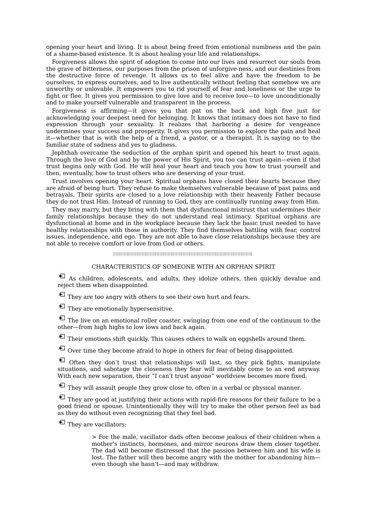opening your heart and living. It is about being freed from emotional numbness and the pain of a shame-based existence. It is about healing your life and relationships.

Forgiveness allows the spirit of adoption to come into our lives and resurrect our souls from the grave of bitterness, our purposes from the prison of unforgive-ness, and our destinies from the destructive force of revenge. It allows us to feel alive and have the freedom to be ourselves, to express ourselves, and to live authentically without feeling that somehow we are unworthy or unlovable. It empowers you to rid yourself of fear and loneliness or the urge to fight or flee. It gives you permission to give love and to receive love—to love unconditionally and to make yourself vulnerable and transparent in the process.

Forgiveness is affirming—it gives you that pat on the back and high five just for acknowledging your deepest need for belonging. It knows that intimacy does not have to find expression through your sexuality. It realizes that harboring a desire for vengeance undermines your success and prosperity. It gives you permission to explore the pain and heal it—whether that is with the help of a friend, a pastor, or a therapist. It is saying no to the familiar state of sadness and yes to gladness.

Jephthah overcame the seduction of the orphan spirit and opened his heart to trust again. Through the love of God and by the power of His Spirit, you too can trust again—even if that trust begins only with God. He will heal your heart and teach you how to trust yourself and then, eventually, how to trust others who are deserving of your trust.

Trust involves opening your heart. Spiritual orphans have closed their hearts because they are afraid of being hurt. They refuse to make themselves vulnerable because of past pains and betrayals. Their spirits are closed to a love relationship with their heavenly Father because they do not trust Him. Instead of running to God, they are continually running away from Him.

They may marry, but they bring with them that dysfunctional mistrust that undermines their family relationships because they do not understand real intimacy. Spiritual orphans are dysfunctional at home and in the workplace because they lack the basic trust needed to have healthy relationships with those in authority. They find themselves battling with fear, control issues, independence, and ego. They are not able to have close relationships because they are not able to receive comfort or love from God or others.

#### CHARACTERISTICS OF SOMEONE WITH AN ORPHAN SPIRIT

As children, adolescents, and adults, they idolize others, then quickly devalue and reject them when disappointed.

They are too angry with others to see their own hurt and fears.

They are emotionally hypersensitive.

The live on an emotional roller coaster, swinging from one end of the continuum to the other—from high highs to low lows and back again.

Their emotions shift quickly. This causes others to walk on eggshells around them.

Over time they become afraid to hope in others for fear of being disappointed.

 $\Box$  Often they don't trust that relationships will last, so they pick fights, manipulate situations, and sabotage the closeness they fear will inevitably come to an end anyway. With each new separation, their "I can't trust anyone" worldview becomes more fixed.

They will assault people they grow close to, often in a verbal or physical manner.

They are good at justifying their actions with rapid-fire reasons for their failure to be a good friend or spouse. Unintentionally they will try to make the other person feel as bad as they do without even recognizing that they feel bad.

They are vacillators:

> For the male, vacillator dads often become jealous of their children when a mother's instincts, hormones, and mirror neurons draw them closer together. The dad will become distressed that the passion between him and his wife is lost. The father will then become angry with the mother for abandoning him even though she hasn't—and may withdraw.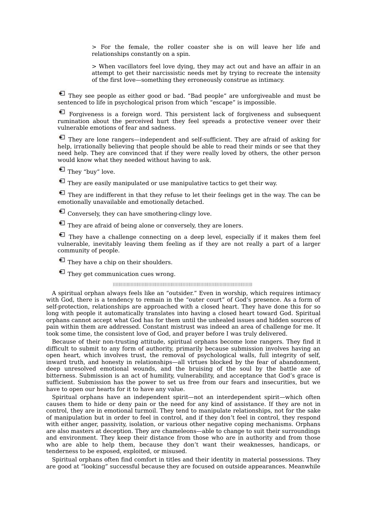> For the female, the roller coaster she is on will leave her life and relationships constantly on a spin.

> When vacillators feel love dying, they may act out and have an affair in an attempt to get their narcissistic needs met by trying to recreate the intensity of the first love—something they erroneously construe as intimacy.

They see people as either good or bad. "Bad people" are unforgiveable and must be sentenced to life in psychological prison from which "escape" is impossible.

 $\Box$  Forgiveness is a foreign word. This persistent lack of forgiveness and subsequent rumination about the perceived hurt they feel spreads a protective veneer over their vulnerable emotions of fear and sadness.

They are lone rangers—independent and self-sufficient. They are afraid of asking for help, irrationally believing that people should be able to read their minds or see that they need help. They are convinced that if they were really loved by others, the other person would know what they needed without having to ask.

They "buy" love.

They are easily manipulated or use manipulative tactics to get their way.

They are indifferent in that they refuse to let their feelings get in the way. The can be emotionally unavailable and emotionally detached.

Conversely, they can have smothering-clingy love.

They are afraid of being alone or conversely, they are loners.

They have a challenge connecting on a deep level, especially if it makes them feel vulnerable, inevitably leaving them feeling as if they are not really a part of a larger community of people.

They have a chip on their shoulders.

They get communication cues wrong.

## 

A spiritual orphan always feels like an "outsider." Even in worship, which requires intimacy with God, there is a tendency to remain in the "outer court" of God's presence. As a form of self-protection, relationships are approached with a closed heart. They have done this for so long with people it automatically translates into having a closed heart toward God. Spiritual orphans cannot accept what God has for them until the unhealed issues and hidden sources of pain within them are addressed. Constant mistrust was indeed an area of challenge for me. It took some time, the consistent love of God, and prayer before I was truly delivered.

Because of their non-trusting attitude, spiritual orphans become lone rangers. They find it difficult to submit to any form of authority, primarily because submission involves having an open heart, which involves trust, the removal of psychological walls, full integrity of self, inward truth, and honesty in relationships—all virtues blocked by the fear of abandonment, deep unresolved emotional wounds, and the bruising of the soul by the battle axe of bitterness. Submission is an act of humility, vulnerability, and acceptance that God's grace is sufficient. Submission has the power to set us free from our fears and insecurities, but we have to open our hearts for it to have any value.

Spiritual orphans have an independent spirit—not an interdependent spirit—which often causes them to hide or deny pain or the need for any kind of assistance. If they are not in control, they are in emotional turmoil. They tend to manipulate relationships, not for the sake of manipulation but in order to feel in control, and if they don't feel in control, they respond with either anger, passivity, isolation, or various other negative coping mechanisms. Orphans are also masters at deception. They are chameleons—able to change to suit their surroundings and environment. They keep their distance from those who are in authority and from those who are able to help them, because they don't want their weaknesses, handicaps, or tenderness to be exposed, exploited, or misused.

Spiritual orphans often find comfort in titles and their identity in material possessions. They are good at "looking" successful because they are focused on outside appearances. Meanwhile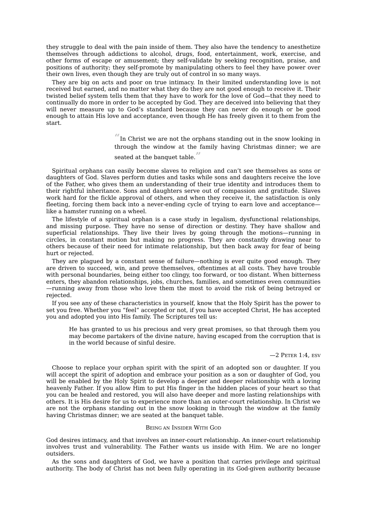they struggle to deal with the pain inside of them. They also have the tendency to anesthetize themselves through addictions to alcohol, drugs, food, entertainment, work, exercise, and other forms of escape or amusement; they self-validate by seeking recognition, praise, and positions of authority; they self-promote by manipulating others to feel they have power over their own lives, even though they are truly out of control in so many ways.

They are big on acts and poor on true intimacy. In their limited understanding love is not received but earned, and no matter what they do they are not good enough to receive it. Their twisted belief system tells them that they have to work for the love of God—that they need to continually do more in order to be accepted by God. They are deceived into believing that they will never measure up to God's standard because they can never do enough or be good enough to attain His love and acceptance, even though He has freely given it to them from the start.

> **"** In Christ we are not the orphans standing out in the snow looking in through the window at the family having Christmas dinner; we are

seated at the banquet table.**"**

Spiritual orphans can easily become slaves to religion and can't see themselves as sons or daughters of God. Slaves perform duties and tasks while sons and daughters receive the love of the Father, who gives them an understanding of their true identity and introduces them to their rightful inheritance. Sons and daughters serve out of compassion and gratitude. Slaves work hard for the fickle approval of others, and when they receive it, the satisfaction is only fleeting, forcing them back into a never-ending cycle of trying to earn love and acceptance like a hamster running on a wheel.

The lifestyle of a spiritual orphan is a case study in legalism, dysfunctional relationships, and missing purpose. They have no sense of direction or destiny. They have shallow and superficial relationships. They live their lives by going through the motions—running in circles, in constant motion but making no progress. They are constantly drawing near to others because of their need for intimate relationship, but then back away for fear of being hurt or rejected.

They are plagued by a constant sense of failure—nothing is ever quite good enough. They are driven to succeed, win, and prove themselves, oftentimes at all costs. They have trouble with personal boundaries, being either too clingy, too forward, or too distant. When bitterness enters, they abandon relationships, jobs, churches, families, and sometimes even communities —running away from those who love them the most to avoid the risk of being betrayed or rejected.

If you see any of these characteristics in yourself, know that the Holy Spirit has the power to set you free. Whether you "feel" accepted or not, if you have accepted Christ, He has accepted you and adopted you into His family. The Scriptures tell us:

He has granted to us his precious and very great promises, so that through them you may become partakers of the divine nature, having escaped from the corruption that is in the world because of sinful desire.

—2 PETER 1:4, ESV

Choose to replace your orphan spirit with the spirit of an adopted son or daughter. If you will accept the spirit of adoption and embrace your position as a son or daughter of God, you will be enabled by the Holy Spirit to develop a deeper and deeper relationship with a loving heavenly Father. If you allow Him to put His finger in the hidden places of your heart so that you can be healed and restored, you will also have deeper and more lasting relationships with others. It is His desire for us to experience more than an outer-court relationship. In Christ we are not the orphans standing out in the snow looking in through the window at the family having Christmas dinner; we are seated at the banquet table.

#### BEING AN INSIDER WITH GOD

God desires intimacy, and that involves an inner-court relationship. An inner-court relationship involves trust and vulnerability. The Father wants us inside with Him. We are no longer outsiders.

As the sons and daughters of God, we have a position that carries privilege and spiritual authority. The body of Christ has not been fully operating in its God-given authority because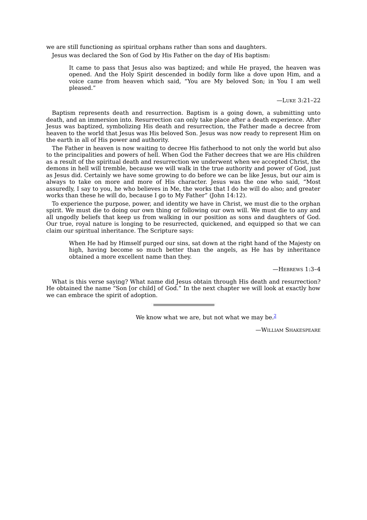we are still functioning as spiritual orphans rather than sons and daughters.

Jesus was declared the Son of God by His Father on the day of His baptism:

It came to pass that Jesus also was baptized; and while He prayed, the heaven was opened. And the Holy Spirit descended in bodily form like a dove upon Him, and a voice came from heaven which said, "You are My beloved Son; in You I am well pleased."

—LUKE 3:21–22

Baptism represents death and resurrection. Baptism is a going down, a submitting unto death, and an immersion into. Resurrection can only take place after a death experience. After Jesus was baptized, symbolizing His death and resurrection, the Father made a decree from heaven to the world that Jesus was His beloved Son. Jesus was now ready to represent Him on the earth in all of His power and authority.

The Father in heaven is now waiting to decree His fatherhood to not only the world but also to the principalities and powers of hell. When God the Father decrees that we are His children as a result of the spiritual death and resurrection we underwent when we accepted Christ, the demons in hell will tremble, because we will walk in the true authority and power of God, just as Jesus did. Certainly we have some growing to do before we can be like Jesus, but our aim is always to take on more and more of His character. Jesus was the one who said, "Most assuredly, I say to you, he who believes in Me, the works that I do he will do also; and greater works than these he will do, because I go to My Father" (John 14:12).

To experience the purpose, power, and identity we have in Christ, we must die to the orphan spirit. We must die to doing our own thing or following our own will. We must die to any and all ungodly beliefs that keep us from walking in our position as sons and daughters of God. Our true, royal nature is longing to be resurrected, quickened, and equipped so that we can claim our spiritual inheritance. The Scripture says:

When He had by Himself purged our sins, sat down at the right hand of the Majesty on high, having become so much better than the angels, as He has by inheritance obtained a more excellent name than they.

—HEBREWS 1:3–4

What is this verse saying? What name did Jesus obtain through His death and resurrection? He obtained the name "Son [or child] of God." In the next chapter we will look at exactly how we can embrace the spirit of adoption.

We know what we are, but not what we may be. $<sup>2</sup>$ </sup>

—WILLIAM SHAKESPEARE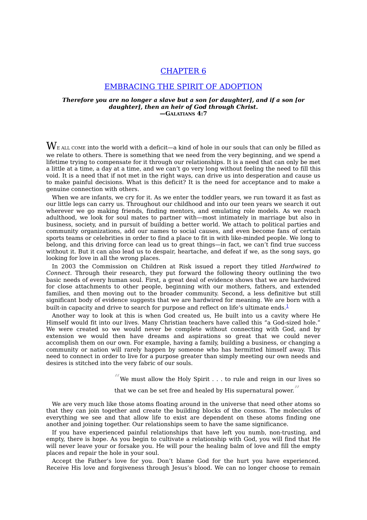## CHAPTER 6

## EMBRACING THE SPIRIT OF ADOPTION

#### *Therefore you are no longer a slave but a son [or daughter], and if a son [or daughter], then an heir of God through Christ.* **—GALATIANS 4:7**

 $\mathbf{W}_{\text{\tiny E ALL COME}}$  into the world with a deficit—a kind of hole in our souls that can only be filled as we relate to others. There is something that we need from the very beginning, and we spend a lifetime trying to compensate for it through our relationships. It is a need that can only be met a little at a time, a day at a time, and we can't go very long without feeling the need to fill this void. It is a need that if not met in the right ways, can drive us into desperation and cause us to make painful decisions. What is this deficit? It is the need for acceptance and to make a genuine connection with others.

When we are infants, we cry for it. As we enter the toddler years, we run toward it as fast as our little legs can carry us. Throughout our childhood and into our teen years we search it out wherever we go making friends, finding mentors, and emulating role models. As we reach adulthood, we look for soul mates to partner with—most intimately in marriage but also in business, society, and in pursuit of building a better world. We attach to political parties and community organizations, add our names to social causes, and even become fans of certain sports teams or celebrities in order to find a place to fit in with like-minded people. We long to belong, and this driving force can lead us to great things—in fact, we can't find true success without it. But it can also lead us to despair, heartache, and defeat if we, as the song says, go looking for love in all the wrong places.

In 2003 the Commission on Children at Risk issued a report they titled *Hardwired to Connect*. Through their research, they put forward the following theory outlining the two basic needs of every human soul. First, a great deal of evidence shows that we are hardwired for close attachments to other people, beginning with our mothers, fathers, and extended families, and then moving out to the broader community. Second, a less definitive but still significant body of evidence suggests that we are hardwired for meaning. We are born with a built-in capacity and drive to search for purpose and reflect on life's ultimate ends.<sup>1</sup>

Another way to look at this is when God created us, He built into us a cavity where He Himself would fit into our lives. Many Christian teachers have called this "a God-sized hole." We were created so we would never be complete without connecting with God, and by extension we would then have dreams and aspirations so great that we could never accomplish them on our own. For example, having a family, building a business, or changing a community or nation will rarely happen by someone who has hermitted himself away. This need to connect in order to live for a purpose greater than simply meeting our own needs and desires is stitched into the very fabric of our souls.

**"** We must allow the Holy Spirit . . . to rule and reign in our lives so

#### that we can be set free and healed by His supernatural power.**"**

We are very much like those atoms floating around in the universe that need other atoms so that they can join together and create the building blocks of the cosmos. The molecules of everything we see and that allow life to exist are dependent on these atoms finding one another and joining together. Our relationships seem to have the same significance.

If you have experienced painful relationships that have left you numb, non-trusting, and empty, there is hope. As you begin to cultivate a relationship with God, you will find that He will never leave your or forsake you. He will pour the healing balm of love and fill the empty places and repair the hole in your soul.

Accept the Father's love for you. Don't blame God for the hurt you have experienced. Receive His love and forgiveness through Jesus's blood. We can no longer choose to remain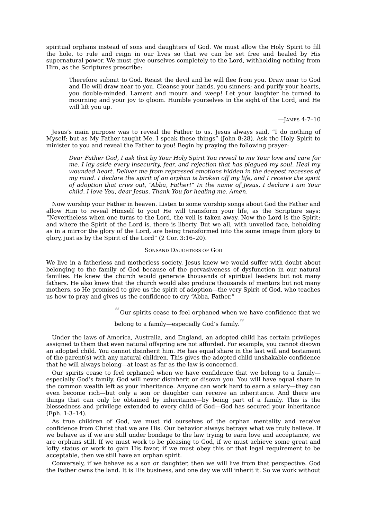spiritual orphans instead of sons and daughters of God. We must allow the Holy Spirit to fill the hole, to rule and reign in our lives so that we can be set free and healed by His supernatural power. We must give ourselves completely to the Lord, withholding nothing from Him, as the Scriptures prescribe:

Therefore submit to God. Resist the devil and he will flee from you. Draw near to God and He will draw near to you. Cleanse your hands, you sinners; and purify your hearts, you double-minded. Lament and mourn and weep! Let your laughter be turned to mourning and your joy to gloom. Humble yourselves in the sight of the Lord, and He will lift you up.

—JAMES 4:7–10

Jesus's main purpose was to reveal the Father to us. Jesus always said, "I do nothing of Myself; but as My Father taught Me, I speak these things" (John 8:28). Ask the Holy Spirit to minister to you and reveal the Father to you! Begin by praying the following prayer:

*Dear Father God, I ask that by Your Holy Spirit You reveal to me Your love and care for me. I lay aside every insecurity, fear, and rejection that has plagued my soul. Heal my wounded heart. Deliver me from repressed emotions hidden in the deepest recesses of my mind. I declare the spirit of an orphan is broken off my life, and I receive the spirit of adoption that cries out, "Abba, Father!" In the name of Jesus, I declare I am Your child. I love You, dear Jesus. Thank You for healing me. Amen.*

Now worship your Father in heaven. Listen to some worship songs about God the Father and allow Him to reveal Himself to you! He will transform your life, as the Scripture says: "Nevertheless when one turns to the Lord, the veil is taken away. Now the Lord is the Spirit; and where the Spirit of the Lord is, there is liberty. But we all, with unveiled face, beholding as in a mirror the glory of the Lord, are being transformed into the same image from glory to glory, just as by the Spirit of the Lord" (2 Cor. 3:16–20).

#### SONSAND DAUGHTERS OF GOD

We live in a fatherless and motherless society. Jesus knew we would suffer with doubt about belonging to the family of God because of the pervasiveness of dysfunction in our natural families. He knew the church would generate thousands of spiritual leaders but not many fathers. He also knew that the church would also produce thousands of mentors but not many mothers, so He promised to give us the spirit of adoption—the very Spirit of God, who teaches us how to pray and gives us the confidence to cry "Abba, Father."

**"** Our spirits cease to feel orphaned when we have confidence that we

belong to <sup>a</sup> family—especially God's family.**"**

Under the laws of America, Australia, and England, an adopted child has certain privileges assigned to them that even natural offspring are not afforded. For example, you cannot disown an adopted child. You cannot disinherit him. He has equal share in the last will and testament of the parent(s) with any natural children. This gives the adopted child unshakable confidence that he will always belong—at least as far as the law is concerned.

Our spirits cease to feel orphaned when we have confidence that we belong to a family especially God's family. God will never disinherit or disown you. You will have equal share in the common wealth left as your inheritance. Anyone can work hard to earn a salary—they can even become rich—but only a son or daughter can receive an inheritance. And there are things that can only be obtained by inheritance—by being part of a family. This is the blessedness and privilege extended to every child of God—God has secured your inheritance (Eph. 1:3–14).

As true children of God, we must rid ourselves of the orphan mentality and receive confidence from Christ that we are His. Our behavior always betrays what we truly believe. If we behave as if we are still under bondage to the law trying to earn love and acceptance, we are orphans still. If we must work to be pleasing to God, if we must achieve some great and lofty status or work to gain His favor, if we must obey this or that legal requirement to be acceptable, then we still have an orphan spirit.

Conversely, if we behave as a son or daughter, then we will live from that perspective. God the Father owns the land. It is His business, and one day we will inherit it. So we work without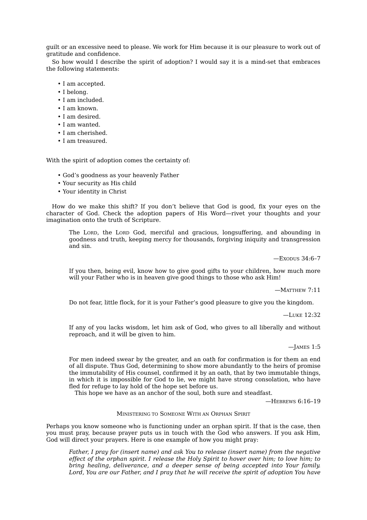guilt or an excessive need to please. We work for Him because it is our pleasure to work out of gratitude and confidence.

So how would I describe the spirit of adoption? I would say it is a mind-set that embraces the following statements:

- I am accepted.
- I belong.
- I am included.
- I am known.
- I am desired.
- I am wanted.
- I am cherished.
- I am treasured.

With the spirit of adoption comes the certainty of:

- God's goodness as your heavenly Father
- Your security as His child
- Your identity in Christ

How do we make this shift? If you don't believe that God is good, fix your eyes on the character of God. Check the adoption papers of His Word—rivet your thoughts and your imagination onto the truth of Scripture.

The LORD, the LORD God, merciful and gracious, longsuffering, and abounding in goodness and truth, keeping mercy for thousands, forgiving iniquity and transgression and sin.

—EXODUS 34:6–7

If you then, being evil, know how to give good gifts to your children, how much more will your Father who is in heaven give good things to those who ask Him!

 $-M$ ATTHEW  $7:11$ 

Do not fear, little flock, for it is your Father's good pleasure to give you the kingdom.

—LUKE 12:32

If any of you lacks wisdom, let him ask of God, who gives to all liberally and without reproach, and it will be given to him.

 $-$ JAMES 1:5

For men indeed swear by the greater, and an oath for confirmation is for them an end of all dispute. Thus God, determining to show more abundantly to the heirs of promise the immutability of His counsel, confirmed it by an oath, that by two immutable things, in which it is impossible for God to lie, we might have strong consolation, who have fled for refuge to lay hold of the hope set before us.

This hope we have as an anchor of the soul, both sure and steadfast.

—HEBREWS 6:16–19

#### MINISTERING TO SOMEONE WITH AN ORPHAN SPIRIT

Perhaps you know someone who is functioning under an orphan spirit. If that is the case, then you must pray, because prayer puts us in touch with the God who answers. If you ask Him, God will direct your prayers. Here is one example of how you might pray:

*Father, I pray for (insert name) and ask You to release (insert name) from the negative effect of the orphan spirit. I release the Holy Spirit to hover over him; to love him; to bring healing, deliverance, and a deeper sense of being accepted into Your family. Lord, You are our Father, and I pray that he will receive the spirit of adoption You have*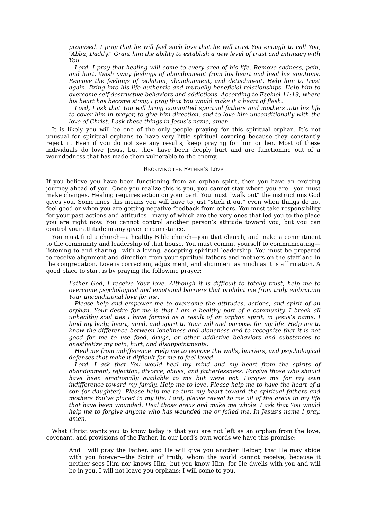*promised. I pray that he will feel such love that he will trust You enough to call You, "Abba, Daddy." Grant him the ability to establish a new level of trust and intimacy with You.*

*Lord, I pray that healing will come to every area of his life. Remove sadness, pain, and hurt. Wash away feelings of abandonment from his heart and heal his emotions. Remove the feelings of isolation, abandonment, and detachment. Help him to trust again. Bring into his life authentic and mutually beneficial relationships. Help him to overcome self-destructive behaviors and addictions. According to Ezekiel 11:19, where his heart has become stony, I pray that You would make it a heart of flesh.*

*Lord, I ask that You will bring committed spiritual fathers and mothers into his life to cover him in prayer, to give him direction, and to love him unconditionally with the love of Christ. I ask these things in Jesus's name, amen.*

It is likely you will be one of the only people praying for this spiritual orphan. It's not unusual for spiritual orphans to have very little spiritual covering because they constantly reject it. Even if you do not see any results, keep praying for him or her. Most of these individuals do love Jesus, but they have been deeply hurt and are functioning out of a woundedness that has made them vulnerable to the enemy.

#### RECEIVING THE FATHER'S LOVE

If you believe you have been functioning from an orphan spirit, then you have an exciting journey ahead of you. Once you realize this is you, you cannot stay where you are—you must make changes. Healing requires action on your part. You must "walk out" the instructions God gives you. Sometimes this means you will have to just "stick it out" even when things do not feel good or when you are getting negative feedback from others. You must take responsibility for your past actions and attitudes—many of which are the very ones that led you to the place you are right now. You cannot control another person's attitude toward you, but you can control your attitude in any given circumstance.

You must find a church—a healthy Bible church—join that church, and make a commitment to the community and leadership of that house. You must commit yourself to communicating listening to and sharing—with a loving, accepting spiritual leadership. You must be prepared to receive alignment and direction from your spiritual fathers and mothers on the staff and in the congregation. Love is correction, adjustment, and alignment as much as it is affirmation. A good place to start is by praying the following prayer:

*Father God, I receive Your love. Although it is difficult to totally trust, help me to overcome psychological and emotional barriers that prohibit me from truly embracing Your unconditional love for me.*

*Please help and empower me to overcome the attitudes, actions, and spirit of an orphan. Your desire for me is that I am a healthy part of a community. I break all unhealthy soul ties I have formed as a result of an orphan spirit, in Jesus's name. I bind my body, heart, mind, and spirit to Your will and purpose for my life. Help me to know the difference between loneliness and aloneness and to recognize that it is not good for me to use food, drugs, or other addictive behaviors and substances to anesthetize my pain, hurt, and disappointments.*

*Heal me from indifference. Help me to remove the walls, barriers, and psychological defenses that make it difficult for me to feel loved.*

*Lord, I ask that You would heal my mind and my heart from the spirits of abandonment, rejection, divorce, abuse, and fatherlessness. Forgive those who should have been emotionally available to me but were not. Forgive me for my own indifference toward my family. Help me to love. Please help me to have the heart of a son (or daughter). Please help me to turn my heart toward the spiritual fathers and mothers You've placed in my life. Lord, please reveal to me all of the areas in my life that have been wounded. Heal those areas and make me whole. I ask that You would help me to forgive anyone who has wounded me or failed me. In Jesus's name I pray, amen.*

What Christ wants you to know today is that you are not left as an orphan from the love, covenant, and provisions of the Father. In our Lord's own words we have this promise:

And I will pray the Father, and He will give you another Helper, that He may abide with you forever—the Spirit of truth, whom the world cannot receive, because it neither sees Him nor knows Him; but you know Him, for He dwells with you and will be in you. I will not leave you orphans; I will come to you.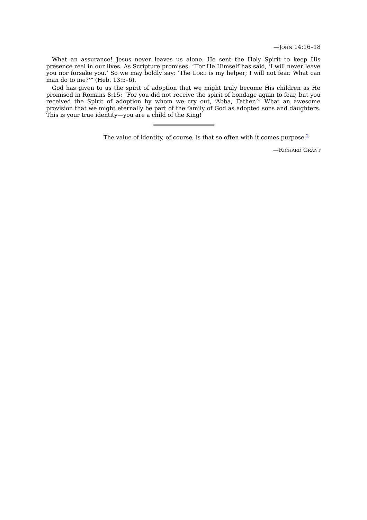What an assurance! Jesus never leaves us alone. He sent the Holy Spirit to keep His presence real in our lives. As Scripture promises: "For He Himself has said, 'I will never leave you nor forsake you.' So we may boldly say: 'The LORD is my helper; I will not fear. What can man do to me?'" (Heb. 13:5–6).

God has given to us the spirit of adoption that we might truly become His children as He promised in Romans 8:15: "For you did not receive the spirit of bondage again to fear, but you received the Spirit of adoption by whom we cry out, 'Abba, Father.'" What an awesome provision that we might eternally be part of the family of God as adopted sons and daughters. This is your true identity—you are a child of the King!

The value of identity, of course, is that so often with it comes purpose. $<sup>2</sup>$ </sup>

—RICHARD GRANT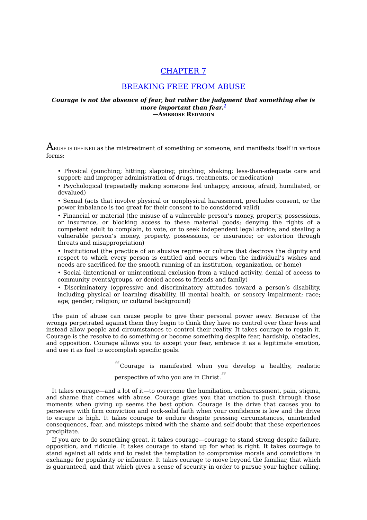## CHAPTER 7

## BREAKING FREE FROM ABUSE

#### *Courage is not the absence of fear, but rather the judgment that something else is more important than fear.<sup>1</sup>* **—AMBROSE REDMOON**

 ${\rm A}_{\rm BUSE}$  is defined as the mistreatment of something or someone, and manifests itself in various forms:

• Physical (punching; hitting; slapping; pinching; shaking; less-than-adequate care and support; and improper administration of drugs, treatments, or medication)

• Psychological (repeatedly making someone feel unhappy, anxious, afraid, humiliated, or devalued)

• Sexual (acts that involve physical or nonphysical harassment, precludes consent, or the power imbalance is too great for their consent to be considered valid)

• Financial or material (the misuse of a vulnerable person's money, property, possessions, or insurance, or blocking access to these material goods; denying the rights of a competent adult to complain, to vote, or to seek independent legal advice; and stealing a vulnerable person's money, property, possessions, or insurance; or extortion through threats and misappropriation)

• Institutional (the practice of an abusive regime or culture that destroys the dignity and respect to which every person is entitled and occurs when the individual's wishes and needs are sacrificed for the smooth running of an institution, organization, or home)

• Social (intentional or unintentional exclusion from a valued activity, denial of access to community events/groups, or denied access to friends and family)

• Discriminatory (oppressive and discriminatory attitudes toward a person's disability, including physical or learning disability, ill mental health, or sensory impairment; race; age; gender; religion; or cultural background)

The pain of abuse can cause people to give their personal power away. Because of the wrongs perpetrated against them they begin to think they have no control over their lives and instead allow people and circumstances to control their reality. It takes courage to regain it. Courage is the resolve to do something or become something despite fear, hardship, obstacles, and opposition. Courage allows you to accept your fear, embrace it as a legitimate emotion, and use it as fuel to accomplish specific goals.

> **"** Courage is manifested when you develop a healthy, realistic perspective of who you are in Christ.**"**

It takes courage—and a lot of it—to overcome the humiliation, embarrassment, pain, stigma, and shame that comes with abuse. Courage gives you that unction to push through those moments when giving up seems the best option. Courage is the drive that causes you to persevere with firm conviction and rock-solid faith when your confidence is low and the drive to escape is high. It takes courage to endure despite pressing circumstances, unintended consequences, fear, and missteps mixed with the shame and self-doubt that these experiences precipitate.

If you are to do something great, it takes courage—courage to stand strong despite failure, opposition, and ridicule. It takes courage to stand up for what is right. It takes courage to stand against all odds and to resist the temptation to compromise morals and convictions in exchange for popularity or influence. It takes courage to move beyond the familiar, that which is guaranteed, and that which gives a sense of security in order to pursue your higher calling.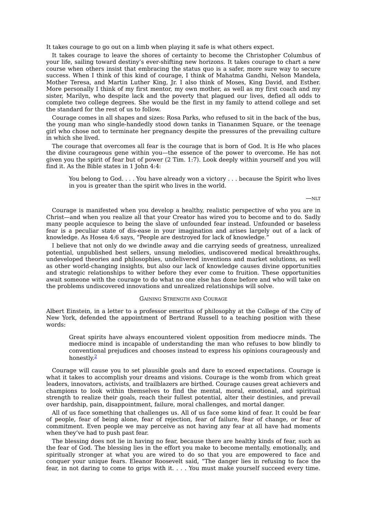It takes courage to go out on a limb when playing it safe is what others expect.

It takes courage to leave the shores of certainty to become the Christopher Columbus of your life, sailing toward destiny's ever-shifting new horizons. It takes courage to chart a new course when others insist that embracing the status quo is a safer, more sure way to secure success. When I think of this kind of courage, I think of Mahatma Gandhi, Nelson Mandela, Mother Teresa, and Martin Luther King, Jr. I also think of Moses, King David, and Esther. More personally I think of my first mentor, my own mother, as well as my first coach and my sister, Marilyn, who despite lack and the poverty that plagued our lives, defied all odds to complete two college degrees. She would be the first in my family to attend college and set the standard for the rest of us to follow.

Courage comes in all shapes and sizes: Rosa Parks, who refused to sit in the back of the bus, the young man who single-handedly stood down tanks in Tiananmen Square, or the teenage girl who chose not to terminate her pregnancy despite the pressures of the prevailing culture in which she lived.

The courage that overcomes all fear is the courage that is born of God. It is He who places the divine courageous gene within you—the essence of the power to overcome. He has not given you the spirit of fear but of power (2 Tim. 1:7). Look deeply within yourself and you will find it. As the Bible states in 1 John 4:4:

You belong to God. . . . You have already won a victory . . . because the Spirit who lives in you is greater than the spirit who lives in the world.

—NLT

Courage is manifested when you develop a healthy, realistic perspective of who you are in Christ—and when you realize all that your Creator has wired you to become and to do. Sadly many people acquiesce to being the slave of unfounded fear instead. Unfounded or baseless fear is a peculiar state of dis-ease in your imagination and arises largely out of a lack of knowledge. As Hosea 4:6 says, "People are destroyed for lack of knowledge."

I believe that not only do we dwindle away and die carrying seeds of greatness, unrealized potential, unpublished best sellers, unsung melodies, undiscovered medical breakthroughs, undeveloped theories and philosophies, undelivered inventions and market solutions, as well as other world-changing insights, but also our lack of knowledge causes divine opportunities and strategic relationships to wither before they ever come to fruition. These opportunities await someone with the courage to do what no one else has done before and who will take on the problems undiscovered innovations and unrealized relationships will solve.

#### GAINING STRENGTH AND COURAGE

Albert Einstein, in a letter to a professor emeritus of philosophy at the College of the City of New York, defended the appointment of Bertrand Russell to a teaching position with these words:

Great spirits have always encountered violent opposition from mediocre minds. The mediocre mind is incapable of understanding the man who refuses to bow blindly to conventional prejudices and chooses instead to express his opinions courageously and honestly. $\frac{2}{3}$ 

Courage will cause you to set plausible goals and dare to exceed expectations. Courage is what it takes to accomplish your dreams and visions. Courage is the womb from which great leaders, innovators, activists, and trailblazers are birthed. Courage causes great achievers and champions to look within themselves to find the mental, moral, emotional, and spiritual strength to realize their goals, reach their fullest potential, alter their destinies, and prevail over hardship, pain, disappointment, failure, moral challenges, and mortal danger.

All of us face something that challenges us. All of us face some kind of fear. It could be fear of people, fear of being alone, fear of rejection, fear of failure, fear of change, or fear of commitment. Even people we may perceive as not having any fear at all have had moments when they've had to push past fear.

The blessing does not lie in having no fear, because there are healthy kinds of fear, such as the fear of God. The blessing lies in the effort you make to become mentally, emotionally, and spiritually stronger at what you are wired to do so that you are empowered to face and conquer your unique fears. Eleanor Roosevelt said, "The danger lies in refusing to face the fear, in not daring to come to grips with it. . . . You must make yourself succeed every time.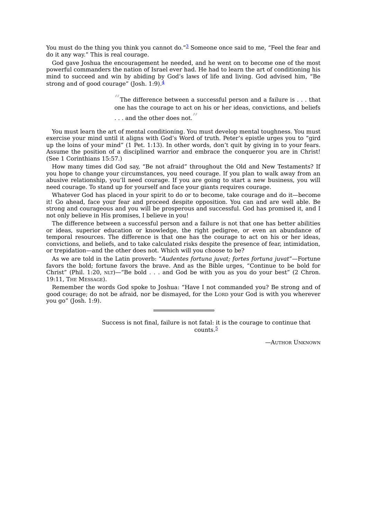You must do the thing you think you cannot do." $^{\underline{3}}$  Someone once said to me, "Feel the fear and do it any way." This is real courage.

God gave Joshua the encouragement he needed, and he went on to become one of the most powerful commanders the nation of Israel ever had. He had to learn the art of conditioning his mind to succeed and win by abiding by God's laws of life and living. God advised him, "Be strong and of good courage" (Josh. 1:9). $\frac{4}{3}$ 

> **"** The difference between a successful person and a failure is . . . that one has the courage to act on his or her ideas, convictions, and beliefs

. . . and the other does not.**"**

You must learn the art of mental conditioning. You must develop mental toughness. You must exercise your mind until it aligns with God's Word of truth. Peter's epistle urges you to "gird up the loins of your mind" (1 Pet. 1:13). In other words, don't quit by giving in to your fears. Assume the position of a disciplined warrior and embrace the conqueror you are in Christ! (See 1 Corinthians 15:57.)

How many times did God say, "Be not afraid" throughout the Old and New Testaments? If you hope to change your circumstances, you need courage. If you plan to walk away from an abusive relationship, you'll need courage. If you are going to start a new business, you will need courage. To stand up for yourself and face your giants requires courage.

Whatever God has placed in your spirit to do or to become, take courage and do it—become it! Go ahead, face your fear and proceed despite opposition. You can and are well able. Be strong and courageous and you will be prosperous and successful. God has promised it, and I not only believe in His promises, I believe in you!

The difference between a successful person and a failure is not that one has better abilities or ideas, superior education or knowledge, the right pedigree, or even an abundance of temporal resources. The difference is that one has the courage to act on his or her ideas, convictions, and beliefs, and to take calculated risks despite the presence of fear, intimidation, or trepidation—and the other does not. Which will you choose to be?

As we are told in the Latin proverb: "*Audentes fortuna juvat; fortes fortuna juvat*"—Fortune favors the bold; fortune favors the brave. And as the Bible urges, "Continue to be bold for Christ" (Phil. 1:20, NLT)—"Be bold . . . and God be with you as you do your best" (2 Chron. 19:11, THE MESSAGE).

Remember the words God spoke to Joshua: "Have I not commanded you? Be strong and of good courage; do not be afraid, nor be dismayed, for the LORD your God is with you wherever you go" (Josh. 1:9).

> Success is not final, failure is not fatal: it is the courage to continue that  $counts<sub>5</sub>$

> > —AUTHOR UNKNOWN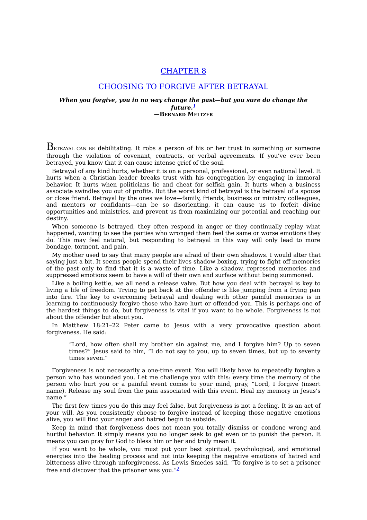## CHAPTER 8

## CHOOSING TO FORGIVE AFTER BETRAYAL

#### *When you forgive, you in no way change the past—but you sure do change the future.<sup>1</sup>* **—BERNARD MELTZER**

 $B$ ETRAYAL CAN BE debilitating. It robs a person of his or her trust in something or someone through the violation of covenant, contracts, or verbal agreements. If you've ever been betrayed, you know that it can cause intense grief of the soul.

Betrayal of any kind hurts, whether it is on a personal, professional, or even national level. It hurts when a Christian leader breaks trust with his congregation by engaging in immoral behavior. It hurts when politicians lie and cheat for selfish gain. It hurts when a business associate swindles you out of profits. But the worst kind of betrayal is the betrayal of a spouse or close friend. Betrayal by the ones we love—family, friends, business or ministry colleagues, and mentors or confidants—can be so disorienting, it can cause us to forfeit divine opportunities and ministries, and prevent us from maximizing our potential and reaching our destiny.

When someone is betrayed, they often respond in anger or they continually replay what happened, wanting to see the parties who wronged them feel the same or worse emotions they do. This may feel natural, but responding to betrayal in this way will only lead to more bondage, torment, and pain.

My mother used to say that many people are afraid of their own shadows. I would alter that saying just a bit. It seems people spend their lives shadow boxing, trying to fight off memories of the past only to find that it is a waste of time. Like a shadow, repressed memories and suppressed emotions seem to have a will of their own and surface without being summoned.

Like a boiling kettle, we all need a release valve. But how you deal with betrayal is key to living a life of freedom. Trying to get back at the offender is like jumping from a frying pan into fire. The key to overcoming betrayal and dealing with other painful memories is in learning to continuously forgive those who have hurt or offended you. This is perhaps one of the hardest things to do, but forgiveness is vital if you want to be whole. Forgiveness is not about the offender but about you.

In Matthew 18:21–22 Peter came to Jesus with a very provocative question about forgiveness. He said:

"Lord, how often shall my brother sin against me, and I forgive him? Up to seven times?" Jesus said to him, "I do not say to you, up to seven times, but up to seventy times seven."

Forgiveness is not necessarily a one-time event. You will likely have to repeatedly forgive a person who has wounded you. Let me challenge you with this: every time the memory of the person who hurt you or a painful event comes to your mind, pray, "Lord, I forgive (insert name). Release my soul from the pain associated with this event. Heal my memory in Jesus's name."

The first few times you do this may feel false, but forgiveness is not a feeling. It is an act of your will. As you consistently choose to forgive instead of keeping those negative emotions alive, you will find your anger and hatred begin to subside.

Keep in mind that forgiveness does not mean you totally dismiss or condone wrong and hurtful behavior. It simply means you no longer seek to get even or to punish the person. It means you can pray for God to bless him or her and truly mean it.

If you want to be whole, you must put your best spiritual, psychological, and emotional energies into the healing process and not into keeping the negative emotions of hatred and bitterness alive through unforgiveness. As Lewis Smedes said, "To forgive is to set a prisoner free and discover that the prisoner was you." $^{\underline{2}}$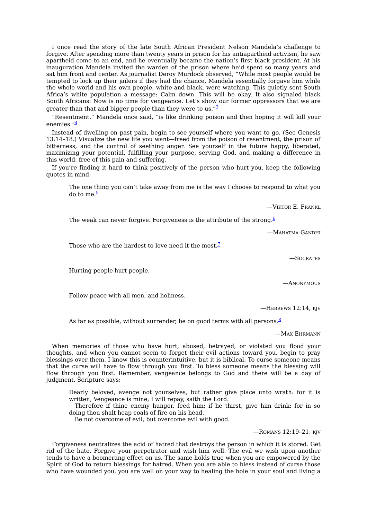I once read the story of the late South African President Nelson Mandela's challenge to forgive. After spending more than twenty years in prison for his antiapartheid activism, he saw apartheid come to an end, and he eventually became the nation's first black president. At his inauguration Mandela invited the warden of the prison where he'd spent so many years and sat him front and center. As journalist Deroy Murdock observed, "While most people would be tempted to lock up their jailers if they had the chance, Mandela essentially forgave him while the whole world and his own people, white and black, were watching. This quietly sent South Africa's white population a message: Calm down. This will be okay. It also signaled black South Africans: Now is no time for vengeance. Let's show our former oppressors that we are greater than that and bigger people than they were to us." $^{\mathbf{3}}$ 

"Resentment," Mandela once said, "is like drinking poison and then hoping it will kill your enemies." 4

Instead of dwelling on past pain, begin to see yourself where you want to go. (See Genesis 13:14–18.) Visualize the new life you want—freed from the poison of resentment, the prison of bitterness, and the control of seething anger. See yourself in the future happy, liberated, maximizing your potential, fulfilling your purpose, serving God, and making a difference in this world, free of this pain and suffering.

If you're finding it hard to think positively of the person who hurt you, keep the following quotes in mind:

The one thing you can't take away from me is the way I choose to respond to what you do to me $\frac{5}{2}$ 

—VIKTOR E. FRANKL

The weak can never forgive. Forgiveness is the attribute of the strong. $6$ 

—MAHATMA GANDHI

Those who are the hardest to love need it the most.<sup>7</sup>

—SOCRATES

Hurting people hurt people.

—ANONYMOUS

Follow peace with all men, and holiness.

—HEBREWS 12:14, KJV

As far as possible, without surrender, be on good terms with all persons. $8$ 

—MAX EHRMANN

When memories of those who have hurt, abused, betrayed, or violated you flood your thoughts, and when you cannot seem to forget their evil actions toward you, begin to pray blessings over them. I know this is counterintuitive, but it is biblical. To curse someone means that the curse will have to flow through you first. To bless someone means the blessing will flow through you first. Remember, vengeance belongs to God and there will be a day of judgment. Scripture says:

Dearly beloved, avenge not yourselves, but rather give place unto wrath: for it is written, Vengeance is mine; I will repay, saith the Lord.

Therefore if thine enemy hunger, feed him; if he thirst, give him drink: for in so doing thou shalt heap coals of fire on his head.

Be not overcome of evil, but overcome evil with good.

—ROMANS 12:19–21, KJV

Forgiveness neutralizes the acid of hatred that destroys the person in which it is stored. Get rid of the hate. Forgive your perpetrator and wish him well. The evil we wish upon another tends to have a boomerang effect on us. The same holds true when you are empowered by the Spirit of God to return blessings for hatred. When you are able to bless instead of curse those who have wounded you, you are well on your way to healing the hole in your soul and living a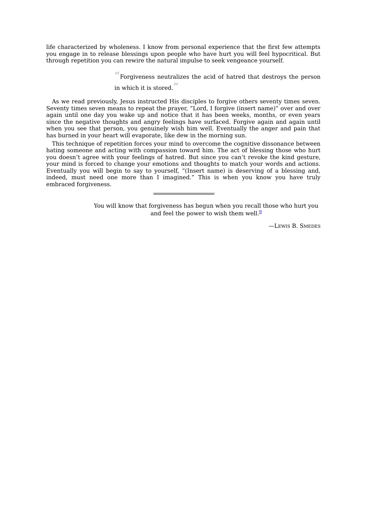life characterized by wholeness. I know from personal experience that the first few attempts you engage in to release blessings upon people who have hurt you will feel hypocritical. But through repetition you can rewire the natural impulse to seek vengeance yourself.

**"** Forgiveness neutralizes the acid of hatred that destroys the person

in which it is stored.**"**

As we read previously, Jesus instructed His disciples to forgive others seventy times seven. Seventy times seven means to repeat the prayer, "Lord, I forgive (insert name)" over and over again until one day you wake up and notice that it has been weeks, months, or even years since the negative thoughts and angry feelings have surfaced. Forgive again and again until when you see that person, you genuinely wish him well. Eventually the anger and pain that has burned in your heart will evaporate, like dew in the morning sun.

This technique of repetition forces your mind to overcome the cognitive dissonance between hating someone and acting with compassion toward him. The act of blessing those who hurt you doesn't agree with your feelings of hatred. But since you can't revoke the kind gesture, your mind is forced to change your emotions and thoughts to match your words and actions. Eventually you will begin to say to yourself, "(Insert name) is deserving of a blessing and, indeed, must need one more than I imagined." This is when you know you have truly embraced forgiveness.

> You will know that forgiveness has begun when you recall those who hurt you and feel the power to wish them well. $\frac{9}{5}$

> > —LEWIS B. SMEDES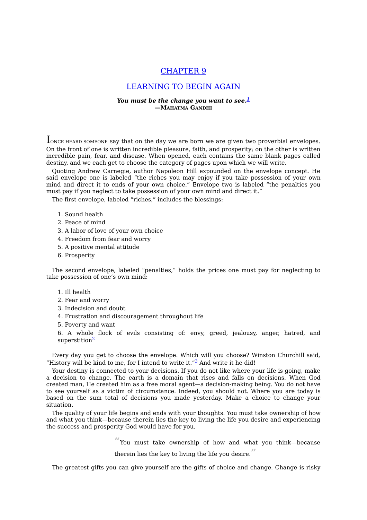## CHAPTER 9

## LEARNING TO BEGIN AGAIN

#### *You must be the change you want to see.<sup>1</sup>* **—MAHATMA GANDHI**

 $I_{\text{ONCE HEARD SOMEONE}}$  say that on the day we are born we are given two proverbial envelopes. On the front of one is written incredible pleasure, faith, and prosperity; on the other is written incredible pain, fear, and disease. When opened, each contains the same blank pages called destiny, and we each get to choose the category of pages upon which we will write.

Quoting Andrew Carnegie, author Napoleon Hill expounded on the envelope concept. He said envelope one is labeled "the riches you may enjoy if you take possession of your own mind and direct it to ends of your own choice." Envelope two is labeled "the penalties you must pay if you neglect to take possession of your own mind and direct it."

The first envelope, labeled "riches," includes the blessings:

- 1. Sound health
- 2. Peace of mind
- 3. A labor of love of your own choice
- 4. Freedom from fear and worry
- 5. A positive mental attitude
- 6. Prosperity

The second envelope, labeled "penalties," holds the prices one must pay for neglecting to take possession of one's own mind:

- 1. Ill health
- 2. Fear and worry
- 3. Indecision and doubt
- 4. Frustration and discouragement throughout life
- 5. Poverty and want

6. A whole flock of evils consisting of: envy, greed, jealousy, anger, hatred, and superstition<sup>2</sup>

Every day you get to choose the envelope. Which will you choose? Winston Churchill said, "History will be kind to me, for I intend to write it." $\frac{3}{2}$  And write it he did!

Your destiny is connected to your decisions. If you do not like where your life is going, make a decision to change. The earth is a domain that rises and falls on decisions. When God created man, He created him as a free moral agent—a decision-making being. You do not have to see yourself as a victim of circumstance. Indeed, you should not. Where you are today is based on the sum total of decisions you made yesterday. Make a choice to change your situation.

The quality of your life begins and ends with your thoughts. You must take ownership of how and what you think—because therein lies the key to living the life you desire and experiencing the success and prosperity God would have for you.

**"** You must take ownership of how and what you think—because

therein lies the key to living the life you desire.**"**

The greatest gifts you can give yourself are the gifts of choice and change. Change is risky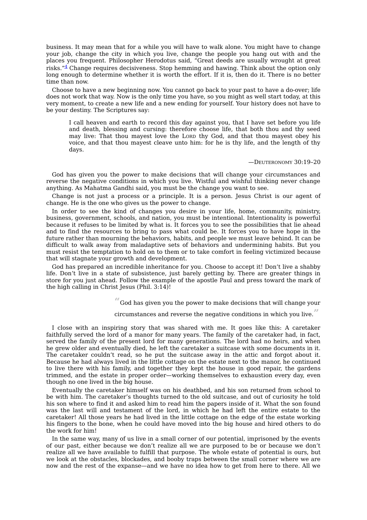business. It may mean that for a while you will have to walk alone. You might have to change your job, change the city in which you live, change the people you hang out with and the places you frequent. Philosopher Herodotus said, "Great deeds are usually wrought at great risks." $\frac{4}{5}$  Change requires decisiveness. Stop hemming and hawing. Think about the option only long enough to determine whether it is worth the effort. If it is, then do it. There is no better time than now.

Choose to have a new beginning now. You cannot go back to your past to have a do-over; life does not work that way. Now is the only time you have, so you might as well start today, at this very moment, to create a new life and a new ending for yourself. Your history does not have to be your destiny. The Scriptures say:

I call heaven and earth to record this day against you, that I have set before you life and death, blessing and cursing: therefore choose life, that both thou and thy seed may live: That thou mayest love the LORD thy God, and that thou mayest obey his voice, and that thou mayest cleave unto him: for he is thy life, and the length of thy days.

—DEUTERONOMY 30:19–20

God has given you the power to make decisions that will change your circumstances and reverse the negative conditions in which you live. Wistful and wishful thinking never change anything. As Mahatma Gandhi said, you must be the change you want to see.

Change is not just a process or a principle. It is a person. Jesus Christ is our agent of change. He is the one who gives us the power to change.

In order to see the kind of changes you desire in your life, home, community, ministry, business, government, schools, and nation, you must be intentional. Intentionality is powerful because it refuses to be limited by what is. It forces you to see the possibilities that lie ahead and to find the resources to bring to pass what could be. It forces you to have hope in the future rather than mourning the behaviors, habits, and people we must leave behind. It can be difficult to walk away from maladaptive sets of behaviors and undermining habits. But you must resist the temptation to hold on to them or to take comfort in feeling victimized because that will stagnate your growth and development.

God has prepared an incredible inheritance for you. Choose to accept it! Don't live a shabby life. Don't live in a state of subsistence, just barely getting by. There are greater things in store for you just ahead. Follow the example of the apostle Paul and press toward the mark of the high calling in Christ Jesus (Phil. 3:14)!

**"** God has given you the power to make decisions that will change your

circumstances and reverse the negative conditions in which you live.**"**

I close with an inspiring story that was shared with me. It goes like this: A caretaker faithfully served the lord of a manor for many years. The family of the caretaker had, in fact, served the family of the present lord for many generations. The lord had no heirs, and when he grew older and eventually died, he left the caretaker a suitcase with some documents in it. The caretaker couldn't read, so he put the suitcase away in the attic and forgot about it. Because he had always lived in the little cottage on the estate next to the manor, he continued to live there with his family, and together they kept the house in good repair, the gardens trimmed, and the estate in proper order—working themselves to exhaustion every day, even though no one lived in the big house.

Eventually the caretaker himself was on his deathbed, and his son returned from school to be with him. The caretaker's thoughts turned to the old suitcase, and out of curiosity he told his son where to find it and asked him to read him the papers inside of it. What the son found was the last will and testament of the lord, in which he had left the entire estate to the caretaker! All those years he had lived in the little cottage on the edge of the estate working his fingers to the bone, when he could have moved into the big house and hired others to do the work for him!

In the same way, many of us live in a small corner of our potential, imprisoned by the events of our past, either because we don't realize all we are purposed to be or because we don't realize all we have available to fulfill that purpose. The whole estate of potential is ours, but we look at the obstacles, blockades, and booby traps between the small corner where we are now and the rest of the expanse—and we have no idea how to get from here to there. All we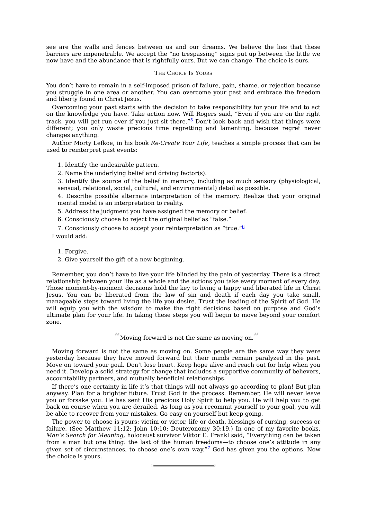see are the walls and fences between us and our dreams. We believe the lies that these barriers are impenetrable. We accept the "no trespassing" signs put up between the little we now have and the abundance that is rightfully ours. But we can change. The choice is ours.

#### THE CHOICE IS YOURS

You don't have to remain in a self-imposed prison of failure, pain, shame, or rejection because you struggle in one area or another. You can overcome your past and embrace the freedom and liberty found in Christ Jesus.

Overcoming your past starts with the decision to take responsibility for your life and to act on the knowledge you have. Take action now. Will Rogers said, "Even if you are on the right track, you will get run over if you just sit there."<sup>5</sup> Don't look back and wish that things were different; you only waste precious time regretting and lamenting, because regret never changes anything.

Author Morty Lefkoe, in his book *Re-Create Your Life,* teaches a simple process that can be used to reinterpret past events:

1. Identify the undesirable pattern.

2. Name the underlying belief and driving factor(s).

3. Identify the source of the belief in memory, including as much sensory (physiological, sensual, relational, social, cultural, and environmental) detail as possible.

4. Describe possible alternate interpretation of the memory. Realize that your original mental model is an interpretation to reality.

5. Address the judgment you have assigned the memory or belief.

6. Consciously choose to reject the original belief as "false."

7. Consciously choose to accept your reinterpretation as "true." $6$ 

I would add:

#### 1. Forgive.

2. Give yourself the gift of a new beginning.

Remember, you don't have to live your life blinded by the pain of yesterday. There is a direct relationship between your life as a whole and the actions you take every moment of every day. Those moment-by-moment decisions hold the key to living a happy and liberated life in Christ Jesus. You can be liberated from the law of sin and death if each day you take small, manageable steps toward living the life you desire. Trust the leading of the Spirit of God. He will equip you with the wisdom to make the right decisions based on purpose and God's ultimate plan for your life. In taking these steps you will begin to move beyond your comfort zone.

**"** Moving forward is not the same as moving on.**"**

Moving forward is not the same as moving on. Some people are the same way they were yesterday because they have moved forward but their minds remain paralyzed in the past. Move on toward your goal. Don't lose heart. Keep hope alive and reach out for help when you need it. Develop a solid strategy for change that includes a supportive community of believers, accountability partners, and mutually beneficial relationships.

If there's one certainty in life it's that things will not always go according to plan! But plan anyway. Plan for a brighter future. Trust God in the process. Remember, He will never leave you or forsake you. He has sent His precious Holy Spirit to help you. He will help you to get back on course when you are derailed. As long as you recommit yourself to your goal, you will be able to recover from your mistakes. Go easy on yourself but keep going.

The power to choose is yours: victim or victor, life or death, blessings of cursing, success or failure. (See Matthew 11:12; John 10:10; Deuteronomy 30:19.) In one of my favorite books, *Man's Search for Meaning*, holocaust survivor Viktor E. Frankl said, "Everything can be taken from a man but one thing: the last of the human freedoms—to choose one's attitude in any given set of circumstances, to choose one's own way." $^{\rm 7}$  God has given you the options. Now the choice is yours.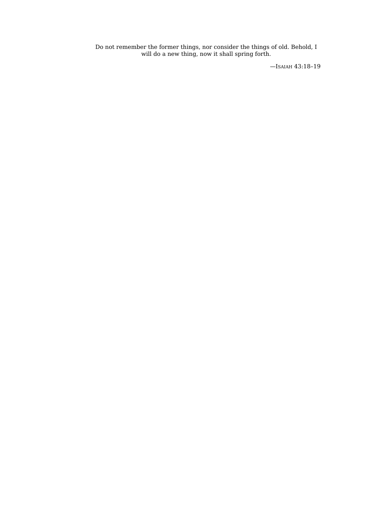Do not remember the former things, nor consider the things of old. Behold, I will do a new thing, now it shall spring forth.

—ISAIAH 43:18–19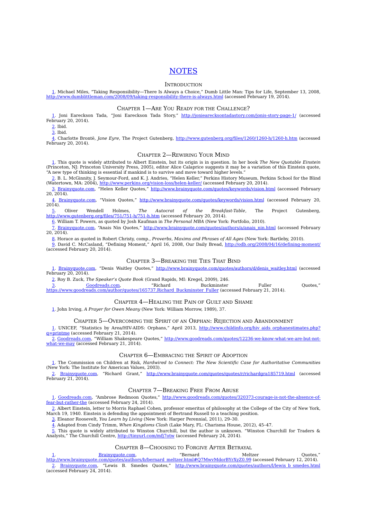## **NOTES**

#### **INTRODUCTION**

1. Michael Miles, "Taking Responsibility—There Is Always a Choice," Dumb Little Man: Tips for Life, September 13, 2008, http://www.dumblittleman.com/2008/09/taking-responsibility-there-is-always.html (accessed February 19, 2014).

#### CHAPTER 1—ARE YOU READY FOR THE CHALLENGE?

1. Joni Eareckson Tada, "Joni Eareckson Tada Story," http://joniearecksontadastory.com/jonis-story-page-1/ (accessed February 20, 2014).

2. Ibid.

3. Ibid.

4. Charlotte Brontë, *Jane Eyre*, The Project Gutenberg, http://www.gutenberg.org/files/1260/1260-h/1260-h.htm (accessed February 20, 2014).

#### CHAPTER 2—REWIRING YOUR MIND

1. This quote is widely attributed to Albert Einstein, but its origin is in question. In her book *The New Quotable Einstein* (Princeton, NJ: Princeton University Press, 2005), editor Alice Calaprice suggests it may be a variation of this Einstein quote, "A new type of thinking is essential if mankind is to survive and move toward higher levels."

2. B. L. McGinnity, J. Seymour-Ford, and K. J. Andries, "Helen Keller," Perkins History Museum, Perkins School for the Blind (Watertown, MA: 2004), http://www.perkins.org/vision-loss/helen-keller/ (accessed February 20, 2014).

3. Brainyquote.com, "Helen Keller Quotes," http://www.brainyquote.com/quotes/keywords/vision.html (accessed February  $20, 2014$ ).

4. Brainyquote.com, "Vision Quotes," http://www.brainyquote.com/quotes/keywords/vision.html (accessed February 20,  $20\overline{14}$ ).

5. Oliver Wendell Holmes, *The Autocrat of the Breakfast-Table*, The Project Gutenberg, http://www.gutenberg.org/files/751/751-h/751-h.htm (accessed February 20, 2014).

6. William T. Powers, as quoted by Josh Kaufman in *The Personal MBA* (New York: Portfolio, 2010).

7. Brainyquote.com, "Anais Nin Quotes," http://www.brainyquote.com/quotes/authors/a/anais\_nin.html (accessed February  $20, 2014$ .

8. Horace as quoted in Robert Christy, comp., *Proverbs, Maxims and Phrases of All Ages* (New York: Bartleby, 2010).

9. David C. McCasland, "Defining Moment," April 16, 2008, Our Daily Bread, http://odb.org/2008/04/16/defining-moment/ (accessed February 20, 2014).

#### CHAPTER 3—BREAKING THE TIES THAT BIND

1. Brainyquote.com, "Denis Waitley Quotes," http://www.brainyquote.com/quotes/authors/d/denis\_waitley.html (accessed February 20, 2014).

2. Roy B. Zuck, *The Speaker's Quote Book* (Grand Rapids, MI: Kregel, 2009), 246.

3. Goodreads.com, "Richard Buckminster Fuller Quotes," https://www.goodreads.com/author/quotes/165737.Richard\_Buckminster\_Fuller (accessed February 21, 2014).

CHAPTER 4—HEALING THE PAIN OF GUILT AND SHAME

1. John Irving, *A Prayer for Owen Meany* (New York: William Morrow, 1989), 37.

#### CHAPTER 5-OVERCOMING THE SPIRIT OF AN ORPHAN: REJECTION AND ABANDONMENT

1. UNICEF, "Statistics by Area/HIV-AIDS: Orphans," April 2013, http://www.childinfo.org/hivaids\_orphanestimates.php? q=printme (accessed February 21, 2014).

2. Goodreads.com, "William Shakespeare Quotes," http://www.goodreads.com/quotes/12236-we-know-what-we-are-but-notwhat-we-may (accessed February 21, 2014).

#### CHAPTER 6—EMBRACING THE SPIRIT OF ADOPTION

1. The Commission on Children at Risk, *Hardwired to Connect: The New Scientific Case for Authoritative Communities* (New York: The Institute for American Values, 2003).

2. Brainyquote.com, "Richard Grant," http://www.brainyquote.com/quotes/quotes/r/richardgra185719.html (accessed February 21, 2014).

#### CHAPTER 7—BREAKING FREE FROM ABUSE

1. Goodreads.com, "Ambrose Redmoon Quotes," http://www.goodreads.com/quotes/320373-courage-is-not-the-absence-offear-but-rather-the (accessed February 24, 2014).

2. Albert Einstein, letter to Morris Raphael Cohen, professor emeritus of philosophy at the College of the City of New York, March 19, 1940. Einstein is defending the appointment of Bertrand Russell to a teaching position.

3. Eleanor Roosevelt, *You Learn by Living* (New York: Harper Perennial, 2011), 29–30.

4. Adapted from Cindy Trimm, *When Kingdoms Clash* (Lake Mary, FL: Charisma House, 2012), 45–47.

5. This quote is widely attributed to Winston Churchill, but the author is unknown. "Winston Churchill for Traders & Analysts," The Churchill Centre, http://tinyurl.com/mfj7otw (accessed February 24, 2014).

#### CHAPTER 8—CHOOSING TO FORGIVE AFTER BETRAYAL

1. Brainyquote.com, "Bernard Meltzer Quotes," http://www.brainyquote.com/quotes/authors/b/bernard\_meltzer.html#Q7MwvMdorBYrXyZ0.99 (accessed February 12, 2014). 2. Brainyquote.com, "Lewis B. Smedes Quotes," http://www.brainyquote.com/quotes/authors/l/lewis\_b\_smedes.html (accessed February 24, 2014).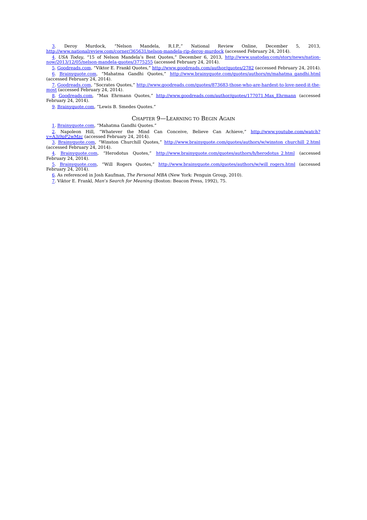3. Deroy Murdock, "Nelson Mandela, R.I.P.," National Review Online, December 5, 2013, http://www.nationalreview.com/corner/365631/nelson-mandela-rip-deroy-murdock (accessed February 24, 2014). 4. *USA Today*, "15 of Nelson Mandela's Best Quotes," December 6, 2013, http://www.usatoday.com/story/news/nation-

now/2013/12/05/nelson-mandela-quotes/3775255 (accessed February 24, 2014). 5. Goodreads.com, "Viktor E. Frankl Quotes," http://www.goodreads.com/author/quotes/2782 (accessed February 24, 2014).

6. Brainyquote.com, "Mahatma Gandhi Quotes," http://www.brainyquote.com/quotes/authors/m/mahatma\_gandhi.html (accessed February 24, 2014).

7. Goodreads.com, "Socrates Quotes," http://www.goodreads.com/quotes/873683-those-who-are-hardest-to-love-need-it-the most (accessed February 24, 2014).

8. Goodreads.com, "Max Ehrmann Quotes," http://www.goodreads.com/author/quotes/177071.Max\_Ehrmann (accessed February 24, 2014).

9. Brainyquote.com, "Lewis B. Smedes Quotes."

#### CHAPTER 9—LEARNING TO BEGIN AGAIN

1. Brainyquote.com, "Mahatma Gandhi Quotes."

2. Napoleon Hill, "Whatever the Mind Can Conceive, Believe Can Achieve," http://www.youtube.com/watch? v=A3i9pP2wMzc (accessed February 24, 2014).

3. Brainyquote.com, "Winston Churchill Quotes," http://www.brainyquote.com/quotes/authors/w/winston\_churchill\_2.html (accessed February 24, 2014).

4. Brainyquote.com, "Herodotus Quotes," http://www.brainyquote.com/quotes/authors/h/herodotus\_2.html (accessed February 24, 2014).

5. Brainyquote.com, "Will Rogers Quotes," http://www.brainyquote.com/quotes/authors/w/will\_rogers.html (accessed February 24, 2014).

6. As referenced in Josh Kaufman, *The Personal MBA* (New York: Penguin Group, 2010).

7. Viktor E. Frankl, *Man's Search for Meaning* (Boston: Beacon Press, 1992), 75.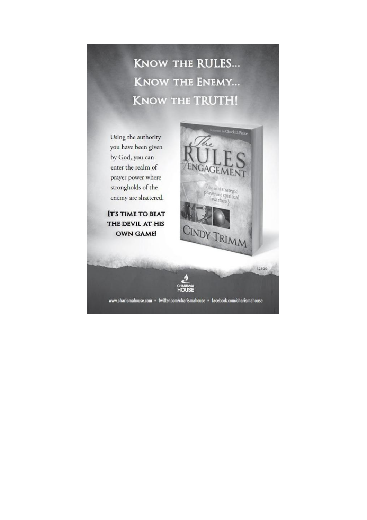# **KNOW THE RULES... KNOW THE ENEMY... KNOW THE TRUTH!**

Using the authority you have been given by God, you can enter the realm of prayer power where strongholds of the enemy are shattered.

**IT'S TIME TO BEAT** THE DEVIL AT HIS **OWN GAME!** 

×



HOUSE www.charismahouse.com = twitter.com/charismahouse = facebook.com/charismahouse